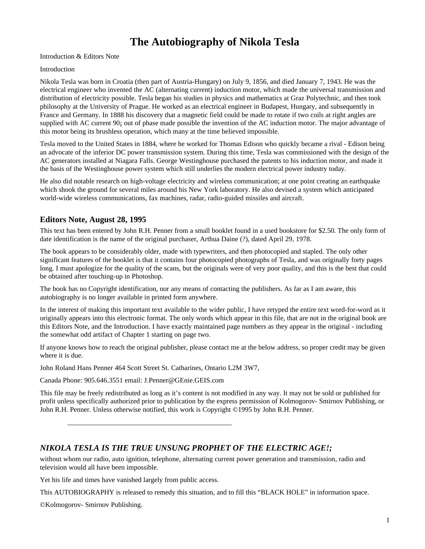# **The Autobiography of Nikola Tesla**

Introduction & Editors Note

#### Introduction

Nikola Tesla was born in Croatia (then part of Austria-Hungary) on July 9, 1856, and died January 7, 1943. He was the electrical engineer who invented the AC (alternating current) induction motor, which made the universal transmission and distribution of electricity possible. Tesla began his studies in physics and mathematics at Graz Polytechnic, and then took philosophy at the University of Prague. He worked as an electrical engineer in Budapest, Hungary, and subsequently in France and Germany. In 1888 his discovery that a magnetic field could be made to rotate if two coils at right angles are supplied with AC current 90; out of phase made possible the invention of the AC induction motor. The major advantage of this motor being its brushless operation, which many at the time believed impossible.

Tesla moved to the United States in 1884, where he worked for Thomas Edison who quickly became a rival - Edison being an advocate of the inferior DC power transmission system. During this time, Tesla was commissioned with the design of the AC generators installed at Niagara Falls. George Westinghouse purchased the patents to his induction motor, and made it the basis of the Westinghouse power system which still underlies the modern electrical power industry today.

He also did notable research on high-voltage electricity and wireless communication; at one point creating an earthquake which shook the ground for several miles around his New York laboratory. He also devised a system which anticipated world-wide wireless communications, fax machines, radar, radio-guided missiles and aircraft.

#### **Editors Note, August 28, 1995**

This text has been entered by John R.H. Penner from a small booklet found in a used bookstore for \$2.50. The only form of date identification is the name of the original purchaser, Arthua Daine (?), dated April 29, 1978.

The book appears to be considerably older, made with typewriters, and then photocopied and stapled. The only other significant features of the booklet is that it contains four photocopied photographs of Tesla, and was originally forty pages long. I must apologize for the quality of the scans, but the originals were of very poor quality, and this is the best that could be obtained after touching-up in Photoshop.

The book has no Copyright identification, nor any means of contacting the publishers. As far as I am aware, this autobiography is no longer available in printed form anywhere.

In the interest of making this important text available to the wider public, I have retyped the entire text word-for-word as it originally appears into this electronic format. The only words which appear in this file, that are not in the original book are this Editors Note, and the Introduction. I have exactly maintained page numbers as they appear in the original - including the somewhat odd artifact of Chapter 1 starting on page two.

If anyone knows how to reach the original publisher, please contact me at the below address, so proper credit may be given where it is due.

John Roland Hans Penner 464 Scott Street St. Catharines, Ontario L2M 3W7,

Canada Phone: 905.646.3551 email: J.Penner@GEnie.GEIS.com

\_\_\_\_\_\_\_\_\_\_\_\_\_\_\_\_\_\_\_\_\_\_\_\_\_\_\_\_\_\_\_\_\_\_\_\_\_\_\_\_\_\_\_\_\_\_\_

This file may be freely redistributed as long as it's content is not modified in any way. It may not be sold or published for profit unless specifically authorized prior to publication by the express permission of Kolmogorov- Smirnov Publishing, or John R.H. Penner. Unless otherwise notified, this work is Copyright ©1995 by John R.H. Penner.

#### *NIKOLA TESLA IS THE TRUE UNSUNG PROPHET OF THE ELECTRIC AGE!;*

without whom our radio, auto ignition, telephone, alternating current power generation and transmission, radio and television would all have been impossible.

Yet his life and times have vanished largely from public access.

This AUTOBIOGRAPHY is released to remedy this situation, and to fill this "BLACK HOLE" in information space.

©Kolmogorov- Smirnov Publishing.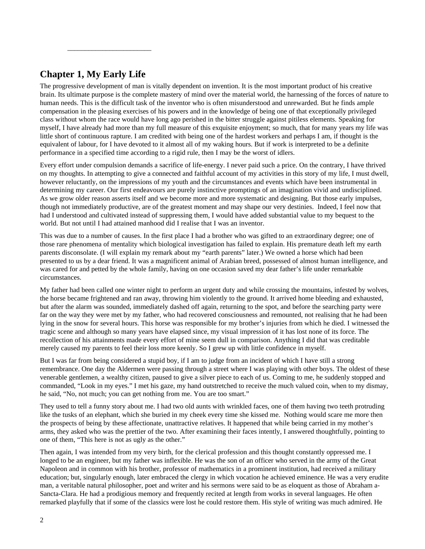### **Chapter 1, My Early Life**

 $\frac{1}{\sqrt{2}}$  ,  $\frac{1}{\sqrt{2}}$  ,  $\frac{1}{\sqrt{2}}$  ,  $\frac{1}{\sqrt{2}}$  ,  $\frac{1}{\sqrt{2}}$  ,  $\frac{1}{\sqrt{2}}$  ,  $\frac{1}{\sqrt{2}}$  ,  $\frac{1}{\sqrt{2}}$  ,  $\frac{1}{\sqrt{2}}$  ,  $\frac{1}{\sqrt{2}}$  ,  $\frac{1}{\sqrt{2}}$  ,  $\frac{1}{\sqrt{2}}$  ,  $\frac{1}{\sqrt{2}}$  ,  $\frac{1}{\sqrt{2}}$  ,  $\frac{1}{\sqrt{2}}$ 

The progressive development of man is vitally dependent on invention. It is the most important product of his creative brain. Its ultimate purpose is the complete mastery of mind over the material world, the harnessing of the forces of nature to human needs. This is the difficult task of the inventor who is often misunderstood and unrewarded. But he finds ample compensation in the pleasing exercises of his powers and in the knowledge of being one of that exceptionally privileged class without whom the race would have long ago perished in the bitter struggle against pitiless elements. Speaking for myself, I have already had more than my full measure of this exquisite enjoyment; so much, that for many years my life was little short of continuous rapture. I am credited with being one of the hardest workers and perhaps I am, if thought is the equivalent of labour, for I have devoted to it almost all of my waking hours. But if work is interpreted to be a definite performance in a specified time according to a rigid rule, then I may be the worst of idlers.

Every effort under compulsion demands a sacrifice of life-energy. I never paid such a price. On the contrary, I have thrived on my thoughts. In attempting to give a connected and faithful account of my activities in this story of my life, I must dwell, however reluctantly, on the impressions of my youth and the circumstances and events which have been instrumental in determining my career. Our first endeavours are purely instinctive promptings of an imagination vivid and undisciplined. As we grow older reason asserts itself and we become more and more systematic and designing. But those early impulses, though not immediately productive, are of the greatest moment and may shape our very destinies. Indeed, I feel now that had I understood and cultivated instead of suppressing them, I would have added substantial value to my bequest to the world. But not until I had attained manhood did I realise that I was an inventor.

This was due to a number of causes. In the first place I had a brother who was gifted to an extraordinary degree; one of those rare phenomena of mentality which biological investigation has failed to explain. His premature death left my earth parents disconsolate. (I will explain my remark about my "earth parents" later.) We owned a horse which had been presented to us by a dear friend. It was a magnificent animal of Arabian breed, possessed of almost human intelligence, and was cared for and petted by the whole family, having on one occasion saved my dear father's life under remarkable circumstances.

My father had been called one winter night to perform an urgent duty and while crossing the mountains, infested by wolves, the horse became frightened and ran away, throwing him violently to the ground. It arrived home bleeding and exhausted, but after the alarm was sounded, immediately dashed off again, returning to the spot, and before the searching party were far on the way they were met by my father, who had recovered consciousness and remounted, not realising that he had been lying in the snow for several hours. This horse was responsible for my brother's injuries from which he died. I witnessed the tragic scene and although so many years have elapsed since, my visual impression of it has lost none of its force. The recollection of his attainments made every effort of mine seem dull in comparison. Anything I did that was creditable merely caused my parents to feel their loss more keenly. So I grew up with little confidence in myself.

But I was far from being considered a stupid boy, if I am to judge from an incident of which I have still a strong remembrance. One day the Aldermen were passing through a street where I was playing with other boys. The oldest of these venerable gentlemen, a wealthy citizen, paused to give a silver piece to each of us. Coming to me, he suddenly stopped and commanded, "Look in my eyes." I met his gaze, my hand outstretched to receive the much valued coin, when to my dismay, he said, "No, not much; you can get nothing from me. You are too smart."

They used to tell a funny story about me. I had two old aunts with wrinkled faces, one of them having two teeth protruding like the tusks of an elephant, which she buried in my cheek every time she kissed me. Nothing would scare me more then the prospects of being by these affectionate, unattractive relatives. It happened that while being carried in my mother's arms, they asked who was the prettier of the two. After examining their faces intently, I answered thoughtfully, pointing to one of them, "This here is not as ugly as the other."

Then again, I was intended from my very birth, for the clerical profession and this thought constantly oppressed me. I longed to be an engineer, but my father was inflexible. He was the son of an officer who served in the army of the Great Napoleon and in common with his brother, professor of mathematics in a prominent institution, had received a military education; but, singularly enough, later embraced the clergy in which vocation he achieved eminence. He was a very erudite man, a veritable natural philosopher, poet and writer and his sermons were said to be as eloquent as those of Abraham a-Sancta-Clara. He had a prodigious memory and frequently recited at length from works in several languages. He often remarked playfully that if some of the classics were lost he could restore them. His style of writing was much admired. He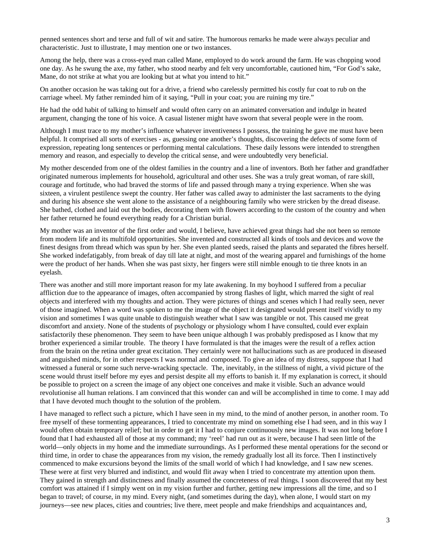penned sentences short and terse and full of wit and satire. The humorous remarks he made were always peculiar and characteristic. Just to illustrate, I may mention one or two instances.

Among the help, there was a cross-eyed man called Mane, employed to do work around the farm. He was chopping wood one day. As he swung the axe, my father, who stood nearby and felt very uncomfortable, cautioned him, "For God's sake, Mane, do not strike at what you are looking but at what you intend to hit."

On another occasion he was taking out for a drive, a friend who carelessly permitted his costly fur coat to rub on the carriage wheel. My father reminded him of it saying, "Pull in your coat; you are ruining my tire."

He had the odd habit of talking to himself and would often carry on an animated conversation and indulge in heated argument, changing the tone of his voice. A casual listener might have sworn that several people were in the room.

Although I must trace to my mother's influence whatever inventiveness I possess, the training he gave me must have been helpful. It comprised all sorts of exercises - as, guessing one another's thoughts, discovering the defects of some form of expression, repeating long sentences or performing mental calculations. These daily lessons were intended to strengthen memory and reason, and especially to develop the critical sense, and were undoubtedly very beneficial.

My mother descended from one of the oldest families in the country and a line of inventors. Both her father and grandfather originated numerous implements for household, agricultural and other uses. She was a truly great woman, of rare skill, courage and fortitude, who had braved the storms of life and passed through many a trying experience. When she was sixteen, a virulent pestilence swept the country. Her father was called away to administer the last sacraments to the dying and during his absence she went alone to the assistance of a neighbouring family who were stricken by the dread disease. She bathed, clothed and laid out the bodies, decorating them with flowers according to the custom of the country and when her father returned he found everything ready for a Christian burial.

My mother was an inventor of the first order and would, I believe, have achieved great things had she not been so remote from modern life and its multifold opportunities. She invented and constructed all kinds of tools and devices and wove the finest designs from thread which was spun by her. She even planted seeds, raised the plants and separated the fibres herself. She worked indefatigably, from break of day till late at night, and most of the wearing apparel and furnishings of the home were the product of her hands. When she was past sixty, her fingers were still nimble enough to tie three knots in an eyelash.

There was another and still more important reason for my late awakening. In my boyhood I suffered from a peculiar affliction due to the appearance of images, often accompanied by strong flashes of light, which marred the sight of real objects and interfered with my thoughts and action. They were pictures of things and scenes which I had really seen, never of those imagined. When a word was spoken to me the image of the object it designated would present itself vividly to my vision and sometimes I was quite unable to distinguish weather what I saw was tangible or not. This caused me great discomfort and anxiety. None of the students of psychology or physiology whom I have consulted, could ever explain satisfactorily these phenomenon. They seem to have been unique although I was probably predisposed as I know that my brother experienced a similar trouble. The theory I have formulated is that the images were the result of a reflex action from the brain on the retina under great excitation. They certainly were not hallucinations such as are produced in diseased and anguished minds, for in other respects I was normal and composed. To give an idea of my distress, suppose that I had witnessed a funeral or some such nerve-wracking spectacle. The, inevitably, in the stillness of night, a vivid picture of the scene would thrust itself before my eyes and persist despite all my efforts to banish it. If my explanation is correct, it should be possible to project on a screen the image of any object one conceives and make it visible. Such an advance would revolutionise all human relations. I am convinced that this wonder can and will be accomplished in time to come. I may add that I have devoted much thought to the solution of the problem.

I have managed to reflect such a picture, which I have seen in my mind, to the mind of another person, in another room. To free myself of these tormenting appearances, I tried to concentrate my mind on something else I had seen, and in this way I would often obtain temporary relief; but in order to get it I had to conjure continuously new images. It was not long before I found that I had exhausted all of those at my command; my 'reel' had run out as it were, because I had seen little of the world—only objects in my home and the immediate surroundings. As I performed these mental operations for the second or third time, in order to chase the appearances from my vision, the remedy gradually lost all its force. Then I instinctively commenced to make excursions beyond the limits of the small world of which I had knowledge, and I saw new scenes. These were at first very blurred and indistinct, and would flit away when I tried to concentrate my attention upon them. They gained in strength and distinctness and finally assumed the concreteness of real things. I soon discovered that my best comfort was attained if I simply went on in my vision further and further, getting new impressions all the time, and so I began to travel; of course, in my mind. Every night, (and sometimes during the day), when alone, I would start on my journeys—see new places, cities and countries; live there, meet people and make friendships and acquaintances and,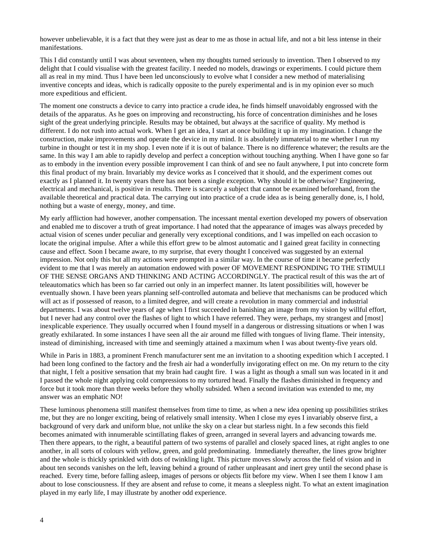however unbelievable, it is a fact that they were just as dear to me as those in actual life, and not a bit less intense in their manifestations.

This I did constantly until I was about seventeen, when my thoughts turned seriously to invention. Then I observed to my delight that I could visualise with the greatest facility. I needed no models, drawings or experiments. I could picture them all as real in my mind. Thus I have been led unconsciously to evolve what I consider a new method of materialising inventive concepts and ideas, which is radically opposite to the purely experimental and is in my opinion ever so much more expeditious and efficient.

The moment one constructs a device to carry into practice a crude idea, he finds himself unavoidably engrossed with the details of the apparatus. As he goes on improving and reconstructing, his force of concentration diminishes and he loses sight of the great underlying principle. Results may be obtained, but always at the sacrifice of quality. My method is different. I do not rush into actual work. When I get an idea, I start at once building it up in my imagination. I change the construction, make improvements and operate the device in my mind. It is absolutely immaterial to me whether I run my turbine in thought or test it in my shop. I even note if it is out of balance. There is no difference whatever; the results are the same. In this way I am able to rapidly develop and perfect a conception without touching anything. When I have gone so far as to embody in the invention every possible improvement I can think of and see no fault anywhere, I put into concrete form this final product of my brain. Invariably my device works as I conceived that it should, and the experiment comes out exactly as I planned it. In twenty years there has not been a single exception. Why should it be otherwise? Engineering, electrical and mechanical, is positive in results. There is scarcely a subject that cannot be examined beforehand, from the available theoretical and practical data. The carrying out into practice of a crude idea as is being generally done, is, I hold, nothing but a waste of energy, money, and time.

My early affliction had however, another compensation. The incessant mental exertion developed my powers of observation and enabled me to discover a truth of great importance. I had noted that the appearance of images was always preceded by actual vision of scenes under peculiar and generally very exceptional conditions, and I was impelled on each occasion to locate the original impulse. After a while this effort grew to be almost automatic and I gained great facility in connecting cause and effect. Soon I became aware, to my surprise, that every thought I conceived was suggested by an external impression. Not only this but all my actions were prompted in a similar way. In the course of time it became perfectly evident to me that I was merely an automation endowed with power OF MOVEMENT RESPONDING TO THE STIMULI OF THE SENSE ORGANS AND THINKING AND ACTING ACCORDINGLY. The practical result of this was the art of teleautomatics which has been so far carried out only in an imperfect manner. Its latent possibilities will, however be eventually shown. I have been years planning self-controlled automata and believe that mechanisms can be produced which will act as if possessed of reason, to a limited degree, and will create a revolution in many commercial and industrial departments. I was about twelve years of age when I first succeeded in banishing an image from my vision by willful effort, but I never had any control over the flashes of light to which I have referred. They were, perhaps, my strangest and [most] inexplicable experience. They usually occurred when I found myself in a dangerous or distressing situations or when I was greatly exhilarated. In some instances I have seen all the air around me filled with tongues of living flame. Their intensity, instead of diminishing, increased with time and seemingly attained a maximum when I was about twenty-five years old.

While in Paris in 1883, a prominent French manufacturer sent me an invitation to a shooting expedition which I accepted. I had been long confined to the factory and the fresh air had a wonderfully invigorating effect on me. On my return to the city that night, I felt a positive sensation that my brain had caught fire. I was a light as though a small sun was located in it and I passed the whole night applying cold compressions to my tortured head. Finally the flashes diminished in frequency and force but it took more than three weeks before they wholly subsided. When a second invitation was extended to me, my answer was an emphatic NO!

These luminous phenomena still manifest themselves from time to time, as when a new idea opening up possibilities strikes me, but they are no longer exciting, being of relatively small intensity. When I close my eyes I invariably observe first, a background of very dark and uniform blue, not unlike the sky on a clear but starless night. In a few seconds this field becomes animated with innumerable scintillating flakes of green, arranged in several layers and advancing towards me. Then there appears, to the right, a beautiful pattern of two systems of parallel and closely spaced lines, at right angles to one another, in all sorts of colours with yellow, green, and gold predominating. Immediately thereafter, the lines grow brighter and the whole is thickly sprinkled with dots of twinkling light. This picture moves slowly across the field of vision and in about ten seconds vanishes on the left, leaving behind a ground of rather unpleasant and inert grey until the second phase is reached. Every time, before falling asleep, images of persons or objects flit before my view. When I see them I know I am about to lose consciousness. If they are absent and refuse to come, it means a sleepless night. To what an extent imagination played in my early life, I may illustrate by another odd experience.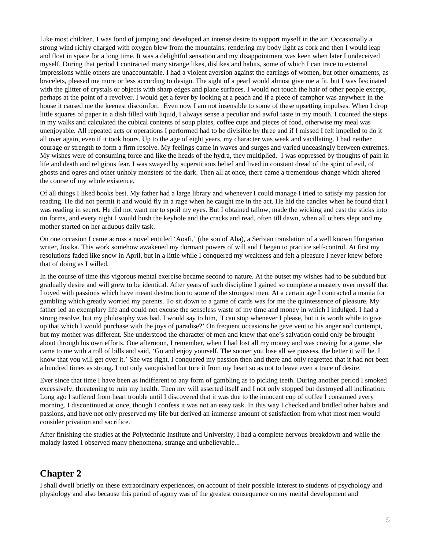Like most children, I was fond of jumping and developed an intense desire to support myself in the air. Occasionally a strong wind richly charged with oxygen blew from the mountains, rendering my body light as cork and then I would leap and float in space for a long time. It was a delightful sensation and my disappointment was keen when later I undeceived myself. During that period I contracted many strange likes, dislikes and habits, some of which I can trace to external impressions while others are unaccountable. I had a violent aversion against the earrings of women, but other ornaments, as bracelets, pleased me more or less according to design. The sight of a pearl would almost give me a fit, but I was fascinated with the glitter of crystals or objects with sharp edges and plane surfaces. I would not touch the hair of other people except, perhaps at the point of a revolver. I would get a fever by looking at a peach and if a piece of camphor was anywhere in the house it caused me the keenest discomfort. Even now I am not insensible to some of these upsetting impulses. When I drop little squares of paper in a dish filled with liquid, I always sense a peculiar and awful taste in my mouth. I counted the steps in my walks and calculated the cubical contents of soup plates, coffee cups and pieces of food, otherwise my meal was unenjoyable. All repeated acts or operations I performed had to be divisible by three and if I missed I felt impelled to do it all over again, even if it took hours. Up to the age of eight years, my character was weak and vacillating. I had neither courage or strength to form a firm resolve. My feelings came in waves and surges and varied unceasingly between extremes. My wishes were of consuming force and like the heads of the hydra, they multiplied. I was oppressed by thoughts of pain in life and death and religious fear. I was swayed by superstitious belief and lived in constant dread of the spirit of evil, of ghosts and ogres and other unholy monsters of the dark. Then all at once, there came a tremendous change which altered the course of my whole existence.

Of all things I liked books best. My father had a large library and whenever I could manage I tried to satisfy my passion for reading. He did not permit it and would fly in a rage when he caught me in the act. He hid the candles when he found that I was reading in secret. He did not want me to spoil my eyes. But I obtained tallow, made the wicking and cast the sticks into tin forms, and every night I would bush the keyhole and the cracks and read, often till dawn, when all others slept and my mother started on her arduous daily task.

On one occasion I came across a novel entitled 'Aoafi,' (the son of Aba), a Serbian translation of a well known Hungarian writer, Josika. This work somehow awakened my dormant powers of will and I began to practice self-control. At first my resolutions faded like snow in April, but in a little while I conquered my weakness and felt a pleasure I never knew before that of doing as I willed.

In the course of time this vigorous mental exercise became second to nature. At the outset my wishes had to be subdued but gradually desire and will grew to be identical. After years of such discipline I gained so complete a mastery over myself that I toyed with passions which have meant destruction to some of the strongest men. At a certain age I contracted a mania for gambling which greatly worried my parents. To sit down to a game of cards was for me the quintessence of pleasure. My father led an exemplary life and could not excuse the senseless waste of my time and money in which I indulged. I had a strong resolve, but my philosophy was bad. I would say to him, 'I can stop whenever I please, but it is worth while to give up that which I would purchase with the joys of paradise?' On frequent occasions he gave vent to his anger and contempt, but my mother was different. She understood the character of men and knew that one's salvation could only be brought about through his own efforts. One afternoon, I remember, when I had lost all my money and was craving for a game, she came to me with a roll of bills and said, 'Go and enjoy yourself. The sooner you lose all we possess, the better it will be. I know that you will get over it.' She was right. I conquered my passion then and there and only regretted that it had not been a hundred times as strong. I not only vanquished but tore it from my heart so as not to leave even a trace of desire.

Ever since that time I have been as indifferent to any form of gambling as to picking teeth. During another period I smoked excessively, threatening to ruin my health. Then my will asserted itself and I not only stopped but destroyed all inclination. Long ago I suffered from heart trouble until I discovered that it was due to the innocent cup of coffee I consumed every morning. I discontinued at once, though I confess it was not an easy task. In this way I checked and bridled other habits and passions, and have not only preserved my life but derived an immense amount of satisfaction from what most men would consider privation and sacrifice.

After finishing the studies at the Polytechnic Institute and University, I had a complete nervous breakdown and while the malady lasted I observed many phenomena, strange and unbelievable...

## **Chapter 2**

I shall dwell briefly on these extraordinary experiences, on account of their possible interest to students of psychology and physiology and also because this period of agony was of the greatest consequence on my mental development and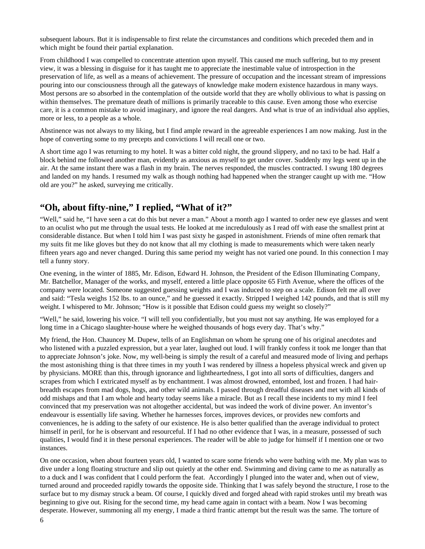subsequent labours. But it is indispensable to first relate the circumstances and conditions which preceded them and in which might be found their partial explanation.

From childhood I was compelled to concentrate attention upon myself. This caused me much suffering, but to my present view, it was a blessing in disguise for it has taught me to appreciate the inestimable value of introspection in the preservation of life, as well as a means of achievement. The pressure of occupation and the incessant stream of impressions pouring into our consciousness through all the gateways of knowledge make modern existence hazardous in many ways. Most persons are so absorbed in the contemplation of the outside world that they are wholly oblivious to what is passing on within themselves. The premature death of millions is primarily traceable to this cause. Even among those who exercise care, it is a common mistake to avoid imaginary, and ignore the real dangers. And what is true of an individual also applies, more or less, to a people as a whole.

Abstinence was not always to my liking, but I find ample reward in the agreeable experiences I am now making. Just in the hope of converting some to my precepts and convictions I will recall one or two.

A short time ago I was returning to my hotel. It was a bitter cold night, the ground slippery, and no taxi to be had. Half a block behind me followed another man, evidently as anxious as myself to get under cover. Suddenly my legs went up in the air. At the same instant there was a flash in my brain. The nerves responded, the muscles contracted. I swung 180 degrees and landed on my hands. I resumed my walk as though nothing had happened when the stranger caught up with me. "How old are you?" he asked, surveying me critically.

## **"Oh, about fifty-nine," I replied, "What of it?"**

"Well," said he, "I have seen a cat do this but never a man." About a month ago I wanted to order new eye glasses and went to an oculist who put me through the usual tests. He looked at me incredulously as I read off with ease the smallest print at considerable distance. But when I told him I was past sixty he gasped in astonishment. Friends of mine often remark that my suits fit me like gloves but they do not know that all my clothing is made to measurements which were taken nearly fifteen years ago and never changed. During this same period my weight has not varied one pound. In this connection I may tell a funny story.

One evening, in the winter of 1885, Mr. Edison, Edward H. Johnson, the President of the Edison Illuminating Company, Mr. Batchellor, Manager of the works, and myself, entered a little place opposite 65 Firth Avenue, where the offices of the company were located. Someone suggested guessing weights and I was induced to step on a scale. Edison felt me all over and said: "Tesla weighs 152 lbs. to an ounce," and he guessed it exactly. Stripped I weighed 142 pounds, and that is still my weight. I whispered to Mr. Johnson; "How is it possible that Edison could guess my weight so closely?"

"Well," he said, lowering his voice. "I will tell you confidentially, but you must not say anything. He was employed for a long time in a Chicago slaughter-house where he weighed thousands of hogs every day. That's why."

My friend, the Hon. Chauncey M. Dupew, tells of an Englishman on whom he sprung one of his original anecdotes and who listened with a puzzled expression, but a year later, laughed out loud. I will frankly confess it took me longer than that to appreciate Johnson's joke. Now, my well-being is simply the result of a careful and measured mode of living and perhaps the most astonishing thing is that three times in my youth I was rendered by illness a hopeless physical wreck and given up by physicians. MORE than this, through ignorance and lightheartedness, I got into all sorts of difficulties, dangers and scrapes from which I extricated myself as by enchantment. I was almost drowned, entombed, lost and frozen. I had hairbreadth escapes from mad dogs, hogs, and other wild animals. I passed through dreadful diseases and met with all kinds of odd mishaps and that I am whole and hearty today seems like a miracle. But as I recall these incidents to my mind I feel convinced that my preservation was not altogether accidental, but was indeed the work of divine power. An inventor's endeavour is essentially life saving. Whether he harnesses forces, improves devices, or provides new comforts and conveniences, he is adding to the safety of our existence. He is also better qualified than the average individual to protect himself in peril, for he is observant and resourceful. If I had no other evidence that I was, in a measure, possessed of such qualities, I would find it in these personal experiences. The reader will be able to judge for himself if I mention one or two instances.

On one occasion, when about fourteen years old, I wanted to scare some friends who were bathing with me. My plan was to dive under a long floating structure and slip out quietly at the other end. Swimming and diving came to me as naturally as to a duck and I was confident that I could perform the feat. Accordingly I plunged into the water and, when out of view, turned around and proceeded rapidly towards the opposite side. Thinking that I was safely beyond the structure, I rose to the surface but to my dismay struck a beam. Of course, I quickly dived and forged ahead with rapid strokes until my breath was beginning to give out. Rising for the second time, my head came again in contact with a beam. Now I was becoming desperate. However, summoning all my energy, I made a third frantic attempt but the result was the same. The torture of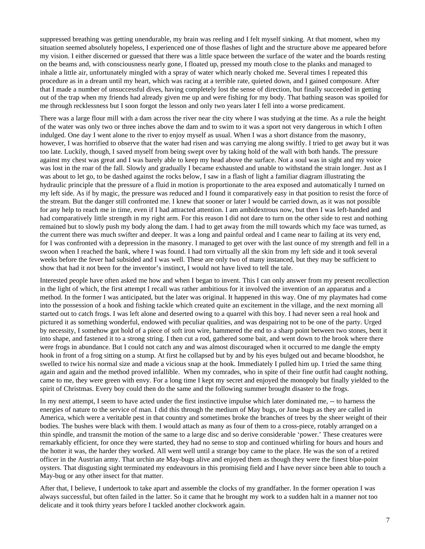suppressed breathing was getting unendurable, my brain was reeling and I felt myself sinking. At that moment, when my situation seemed absolutely hopeless, I experienced one of those flashes of light and the structure above me appeared before my vision. I either discerned or guessed that there was a little space between the surface of the water and the boards resting on the beams and, with consciousness nearly gone, I floated up, pressed my mouth close to the planks and managed to inhale a little air, unfortunately mingled with a spray of water which nearly choked me. Several times I repeated this procedure as in a dream until my heart, which was racing at a terrible rate, quieted down, and I gained composure. After that I made a number of unsuccessful dives, having completely lost the sense of direction, but finally succeeded in getting out of the trap when my friends had already given me up and were fishing for my body. That bathing season was spoiled for me through recklessness but I soon forgot the lesson and only two years later I fell into a worse predicament.

There was a large flour mill with a dam across the river near the city where I was studying at the time. As a rule the height of the water was only two or three inches above the dam and to swim to it was a sport not very dangerous in which I often indulged. One day I went alone to the river to enjoy myself as usual. When I was a short distance from the masonry, however, I was horrified to observe that the water had risen and was carrying me along swiftly. I tried to get away but it was too late. Luckily, though, I saved myself from being swept over by taking hold of the wall with both hands. The pressure against my chest was great and I was barely able to keep my head above the surface. Not a soul was in sight and my voice was lost in the roar of the fall. Slowly and gradually I became exhausted and unable to withstand the strain longer. Just as I was about to let go, to be dashed against the rocks below, I saw in a flash of light a familiar diagram illustrating the hydraulic principle that the pressure of a fluid in motion is proportionate to the area exposed and automatically I turned on my left side. As if by magic, the pressure was reduced and I found it comparatively easy in that position to resist the force of the stream. But the danger still confronted me. I knew that sooner or later I would be carried down, as it was not possible for any help to reach me in time, even if I had attracted attention. I am ambidextrous now, but then I was left-handed and had comparatively little strength in my right arm. For this reason I did not dare to turn on the other side to rest and nothing remained but to slowly push my body along the dam. I had to get away from the mill towards which my face was turned, as the current there was much swifter and deeper. It was a long and painful ordeal and I came near to failing at its very end, for I was confronted with a depression in the masonry. I managed to get over with the last ounce of my strength and fell in a swoon when I reached the bank, where I was found. I had torn virtually all the skin from my left side and it took several weeks before the fever had subsided and I was well. These are only two of many instanced, but they may be sufficient to show that had it not been for the inventor's instinct, I would not have lived to tell the tale.

Interested people have often asked me how and when I began to invent. This I can only answer from my present recollection in the light of which, the first attempt I recall was rather ambitious for it involved the invention of an apparatus and a method. In the former I was anticipated, but the later was original. It happened in this way. One of my playmates had come into the possession of a hook and fishing tackle which created quite an excitement in the village, and the next morning all started out to catch frogs. I was left alone and deserted owing to a quarrel with this boy. I had never seen a real hook and pictured it as something wonderful, endowed with peculiar qualities, and was despairing not to be one of the party. Urged by necessity, I somehow got hold of a piece of soft iron wire, hammered the end to a sharp point between two stones, bent it into shape, and fastened it to a strong string. I then cut a rod, gathered some bait, and went down to the brook where there were frogs in abundance. But I could not catch any and was almost discouraged when it occurred to me dangle the empty hook in front of a frog sitting on a stump. At first he collapsed but by and by his eyes bulged out and became bloodshot, he swelled to twice his normal size and made a vicious snap at the hook. Immediately I pulled him up. I tried the same thing again and again and the method proved infallible. When my comrades, who in spite of their fine outfit had caught nothing, came to me, they were green with envy. For a long time I kept my secret and enjoyed the monopoly but finally yielded to the spirit of Christmas. Every boy could then do the same and the following summer brought disaster to the frogs.

In my next attempt, I seem to have acted under the first instinctive impulse which later dominated me, -- to harness the energies of nature to the service of man. I did this through the medium of May bugs, or June bugs as they are called in America, which were a veritable pest in that country and sometimes broke the branches of trees by the sheer weight of their bodies. The bushes were black with them. I would attach as many as four of them to a cross-piece, rotably arranged on a thin spindle, and transmit the motion of the same to a large disc and so derive considerable 'power.' These creatures were remarkably efficient, for once they were started, they had no sense to stop and continued whirling for hours and hours and the hotter it was, the harder they worked. All went well until a strange boy came to the place. He was the son of a retired officer in the Austrian army. That urchin ate May-bugs alive and enjoyed them as though they were the finest blue-point oysters. That disgusting sight terminated my endeavours in this promising field and I have never since been able to touch a May-bug or any other insect for that matter.

After that, I believe, I undertook to take apart and assemble the clocks of my grandfather. In the former operation I was always successful, but often failed in the latter. So it came that he brought my work to a sudden halt in a manner not too delicate and it took thirty years before I tackled another clockwork again.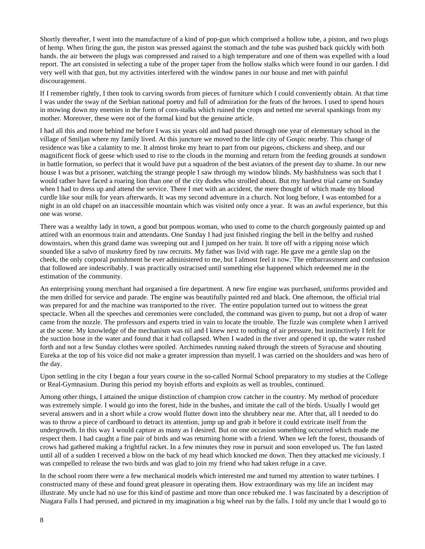Shortly thereafter, I went into the manufacture of a kind of pop-gun which comprised a hollow tube, a piston, and two plugs of hemp. When firing the gun, the piston was pressed against the stomach and the tube was pushed back quickly with both hands. the air between the plugs was compressed and raised to a high temperature and one of them was expelled with a loud report. The art consisted in selecting a tube of the proper taper from the hollow stalks which were found in our garden. I did very well with that gun, but my activities interfered with the window panes in our house and met with painful discouragement.

If I remember rightly, I then took to carving swords from pieces of furniture which I could conveniently obtain. At that time I was under the sway of the Serbian national poetry and full of admiration for the feats of the heroes. I used to spend hours in mowing down my enemies in the form of corn-stalks which ruined the crops and netted me several spankings from my mother. Moreover, these were not of the formal kind but the genuine article.

I had all this and more behind me before I was six years old and had passed through one year of elementary school in the village of Smiljan where my family lived. At this juncture we moved to the little city of Gospic nearby. This change of residence was like a calamity to me. It almost broke my heart to part from our pigeons, chickens and sheep, and our magnificent flock of geese which used to rise to the clouds in the morning and return from the feeding grounds at sundown in battle formation, so perfect that it would have put a squadron of the best aviators of the present day to shame. In our new house I was but a prisoner, watching the strange people I saw through my window blinds. My bashfulness was such that I would rather have faced a roaring lion than one of the city dudes who strolled about. But my hardest trial came on Sunday when I had to dress up and attend the service. There I met with an accident, the mere thought of which made my blood curdle like sour milk for years afterwards. It was my second adventure in a church. Not long before, I was entombed for a night in an old chapel on an inaccessible mountain which was visited only once a year. It was an awful experience, but this one was worse.

There was a wealthy lady in town, a good but pompous woman, who used to come to the church gorgeously painted up and attired with an enormous train and attendants. One Sunday I had just finished ringing the bell in the belfry and rushed downstairs, when this grand dame was sweeping out and I jumped on her train. It tore off with a ripping noise which sounded like a salvo of musketry fired by raw recruits. My father was livid with rage. He gave me a gentle slap on the cheek, the only corporal punishment he ever administered to me, but I almost feel it now. The embarrassment and confusion that followed are indescribably. I was practically ostracised until something else happened which redeemed me in the estimation of the community.

An enterprising young merchant had organised a fire department. A new fire engine was purchased, uniforms provided and the men drilled for service and parade. The engine was beautifully painted red and black. One afternoon, the official trial was prepared for and the machine was transported to the river. The entire population turned out to witness the great spectacle. When all the speeches and ceremonies were concluded, the command was given to pump, but not a drop of water came from the nozzle. The professors and experts tried in vain to locate the trouble. The fizzle was complete when I arrived at the scene. My knowledge of the mechanism was nil and I knew next to nothing of air pressure, but instinctively I felt for the suction hose in the water and found that it had collapsed. When I waded in the river and opened it up, the water rushed forth and not a few Sunday clothes were spoiled. Archimedes running naked through the streets of Syracuse and shouting Eureka at the top of his voice did not make a greater impression than myself. I was carried on the shoulders and was hero of the day.

Upon settling in the city I began a four years course in the so-called Normal School preparatory to my studies at the College or Real-Gymnasium. During this period my boyish efforts and exploits as well as troubles, continued.

Among other things, I attained the unique distinction of champion crow catcher in the country. My method of procedure was extremely simple. I would go into the forest, hide in the bushes, and imitate the call of the birds. Usually I would get several answers and in a short while a crow would flutter down into the shrubbery near me. After that, all I needed to do was to throw a piece of cardboard to detract its attention, jump up and grab it before it could extricate itself from the undergrowth. In this way I would capture as many as I desired. But on one occasion something occurred which made me respect them. I had caught a fine pair of birds and was returning home with a friend. When we left the forest, thousands of crows had gathered making a frightful racket. In a few minutes they rose in pursuit and soon enveloped us. The fun lasted until all of a sudden I received a blow on the back of my head which knocked me down. Then they attacked me viciously. I was compelled to release the two birds and was glad to join my friend who had taken refuge in a cave.

In the school room there were a few mechanical models which interested me and turned my attention to water turbines. I constructed many of these and found great pleasure in operating them. How extraordinary was my life an incident may illustrate. My uncle had no use for this kind of pastime and more than once rebuked me. I was fascinated by a description of Niagara Falls I had perused, and pictured in my imagination a big wheel run by the falls. I told my uncle that I would go to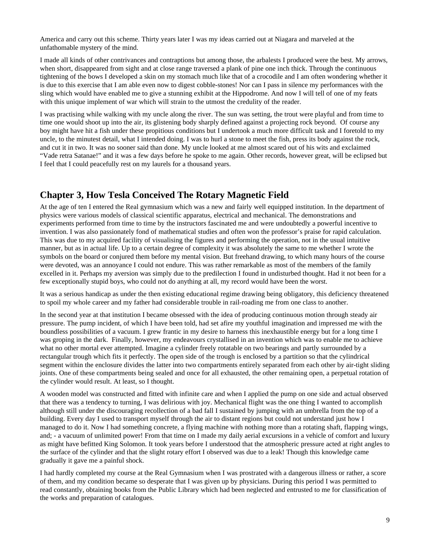America and carry out this scheme. Thirty years later I was my ideas carried out at Niagara and marveled at the unfathomable mystery of the mind.

I made all kinds of other contrivances and contraptions but among those, the arbalests I produced were the best. My arrows, when short, disappeared from sight and at close range traversed a plank of pine one inch thick. Through the continuous tightening of the bows I developed a skin on my stomach much like that of a crocodile and I am often wondering whether it is due to this exercise that I am able even now to digest cobble-stones! Nor can I pass in silence my performances with the sling which would have enabled me to give a stunning exhibit at the Hippodrome. And now I will tell of one of my feats with this unique implement of war which will strain to the utmost the credulity of the reader.

I was practising while walking with my uncle along the river. The sun was setting, the trout were playful and from time to time one would shoot up into the air, its glistening body sharply defined against a projecting rock beyond. Of course any boy might have hit a fish under these propitious conditions but I undertook a much more difficult task and I foretold to my uncle, to the minutest detail, what I intended doing. I was to hurl a stone to meet the fish, press its body against the rock, and cut it in two. It was no sooner said than done. My uncle looked at me almost scared out of his wits and exclaimed "Vade retra Satanae!" and it was a few days before he spoke to me again. Other records, however great, will be eclipsed but I feel that I could peacefully rest on my laurels for a thousand years.

### **Chapter 3, How Tesla Conceived The Rotary Magnetic Field**

At the age of ten I entered the Real gymnasium which was a new and fairly well equipped institution. In the department of physics were various models of classical scientific apparatus, electrical and mechanical. The demonstrations and experiments performed from time to time by the instructors fascinated me and were undoubtedly a powerful incentive to invention. I was also passionately fond of mathematical studies and often won the professor's praise for rapid calculation. This was due to my acquired facility of visualising the figures and performing the operation, not in the usual intuitive manner, but as in actual life. Up to a certain degree of complexity it was absolutely the same to me whether I wrote the symbols on the board or conjured them before my mental vision. But freehand drawing, to which many hours of the course were devoted, was an annoyance I could not endure. This was rather remarkable as most of the members of the family excelled in it. Perhaps my aversion was simply due to the predilection I found in undisturbed thought. Had it not been for a few exceptionally stupid boys, who could not do anything at all, my record would have been the worst.

It was a serious handicap as under the then existing educational regime drawing being obligatory, this deficiency threatened to spoil my whole career and my father had considerable trouble in rail-roading me from one class to another.

In the second year at that institution I became obsessed with the idea of producing continuous motion through steady air pressure. The pump incident, of which I have been told, had set afire my youthful imagination and impressed me with the boundless possibilities of a vacuum. I grew frantic in my desire to harness this inexhaustible energy but for a long time I was groping in the dark. Finally, however, my endeavours crystallised in an invention which was to enable me to achieve what no other mortal ever attempted. Imagine a cylinder freely rotatable on two bearings and partly surrounded by a rectangular trough which fits it perfectly. The open side of the trough is enclosed by a partition so that the cylindrical segment within the enclosure divides the latter into two compartments entirely separated from each other by air-tight sliding joints. One of these compartments being sealed and once for all exhausted, the other remaining open, a perpetual rotation of the cylinder would result. At least, so I thought.

A wooden model was constructed and fitted with infinite care and when I applied the pump on one side and actual observed that there was a tendency to turning, I was delirious with joy. Mechanical flight was the one thing I wanted to accomplish although still under the discouraging recollection of a bad fall I sustained by jumping with an umbrella from the top of a building. Every day I used to transport myself through the air to distant regions but could not understand just how I managed to do it. Now I had something concrete, a flying machine with nothing more than a rotating shaft, flapping wings, and; - a vacuum of unlimited power! From that time on I made my daily aerial excursions in a vehicle of comfort and luxury as might have befitted King Solomon. It took years before I understood that the atmospheric pressure acted at right angles to the surface of the cylinder and that the slight rotary effort I observed was due to a leak! Though this knowledge came gradually it gave me a painful shock.

I had hardly completed my course at the Real Gymnasium when I was prostrated with a dangerous illness or rather, a score of them, and my condition became so desperate that I was given up by physicians. During this period I was permitted to read constantly, obtaining books from the Public Library which had been neglected and entrusted to me for classification of the works and preparation of catalogues.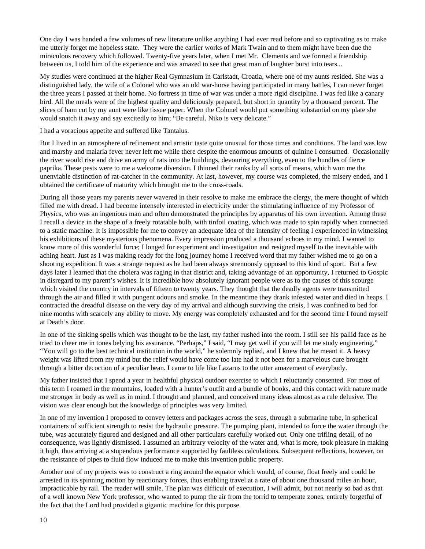One day I was handed a few volumes of new literature unlike anything I had ever read before and so captivating as to make me utterly forget me hopeless state. They were the earlier works of Mark Twain and to them might have been due the miraculous recovery which followed. Twenty-five years later, when I met Mr. Clements and we formed a friendship between us, I told him of the experience and was amazed to see that great man of laughter burst into tears...

My studies were continued at the higher Real Gymnasium in Carlstadt, Croatia, where one of my aunts resided. She was a distinguished lady, the wife of a Colonel who was an old war-horse having participated in many battles, I can never forget the three years I passed at their home. No fortress in time of war was under a more rigid discipline. I was fed like a canary bird. All the meals were of the highest quality and deliciously prepared, but short in quantity by a thousand percent. The slices of ham cut by my aunt were like tissue paper. When the Colonel would put something substantial on my plate she would snatch it away and say excitedly to him; "Be careful. Niko is very delicate."

I had a voracious appetite and suffered like Tantalus.

But I lived in an atmosphere of refinement and artistic taste quite unusual for those times and conditions. The land was low and marshy and malaria fever never left me while there despite the enormous amounts of quinine I consumed. Occasionally the river would rise and drive an army of rats into the buildings, devouring everything, even to the bundles of fierce paprika. These pests were to me a welcome diversion. I thinned their ranks by all sorts of means, which won me the unenviable distinction of rat-catcher in the community. At last, however, my course was completed, the misery ended, and I obtained the certificate of maturity which brought me to the cross-roads.

During all those years my parents never wavered in their resolve to make me embrace the clergy, the mere thought of which filled me with dread. I had become intensely interested in electricity under the stimulating influence of my Professor of Physics, who was an ingenious man and often demonstrated the principles by apparatus of his own invention. Among these I recall a device in the shape of a freely rotatable bulb, with tinfoil coating, which was made to spin rapidly when connected to a static machine. It is impossible for me to convey an adequate idea of the intensity of feeling I experienced in witnessing his exhibitions of these mysterious phenomena. Every impression produced a thousand echoes in my mind. I wanted to know more of this wonderful force; I longed for experiment and investigation and resigned myself to the inevitable with aching heart. Just as I was making ready for the long journey home I received word that my father wished me to go on a shooting expedition. It was a strange request as he had been always strenuously opposed to this kind of sport. But a few days later I learned that the cholera was raging in that district and, taking advantage of an opportunity, I returned to Gospic in disregard to my parent's wishes. It is incredible how absolutely ignorant people were as to the causes of this scourge which visited the country in intervals of fifteen to twenty years. They thought that the deadly agents were transmitted through the air and filled it with pungent odours and smoke. In the meantime they drank infested water and died in heaps. I contracted the dreadful disease on the very day of my arrival and although surviving the crisis, I was confined to bed for nine months with scarcely any ability to move. My energy was completely exhausted and for the second time I found myself at Death's door.

In one of the sinking spells which was thought to be the last, my father rushed into the room. I still see his pallid face as he tried to cheer me in tones belying his assurance. "Perhaps," I said, "I may get well if you will let me study engineering." "You will go to the best technical institution in the world," he solemnly replied, and I knew that he meant it. A heavy weight was lifted from my mind but the relief would have come too late had it not been for a marvelous cure brought through a bitter decoction of a peculiar bean. I came to life like Lazarus to the utter amazement of everybody.

My father insisted that I spend a year in healthful physical outdoor exercise to which I reluctantly consented. For most of this term I roamed in the mountains, loaded with a hunter's outfit and a bundle of books, and this contact with nature made me stronger in body as well as in mind. I thought and planned, and conceived many ideas almost as a rule delusive. The vision was clear enough but the knowledge of principles was very limited.

In one of my invention I proposed to convey letters and packages across the seas, through a submarine tube, in spherical containers of sufficient strength to resist the hydraulic pressure. The pumping plant, intended to force the water through the tube, was accurately figured and designed and all other particulars carefully worked out. Only one trifling detail, of no consequence, was lightly dismissed. I assumed an arbitrary velocity of the water and, what is more, took pleasure in making it high, thus arriving at a stupendous performance supported by faultless calculations. Subsequent reflections, however, on the resistance of pipes to fluid flow induced me to make this invention public property.

Another one of my projects was to construct a ring around the equator which would, of course, float freely and could be arrested in its spinning motion by reactionary forces, thus enabling travel at a rate of about one thousand miles an hour, impracticable by rail. The reader will smile. The plan was difficult of execution, I will admit, but not nearly so bad as that of a well known New York professor, who wanted to pump the air from the torrid to temperate zones, entirely forgetful of the fact that the Lord had provided a gigantic machine for this purpose.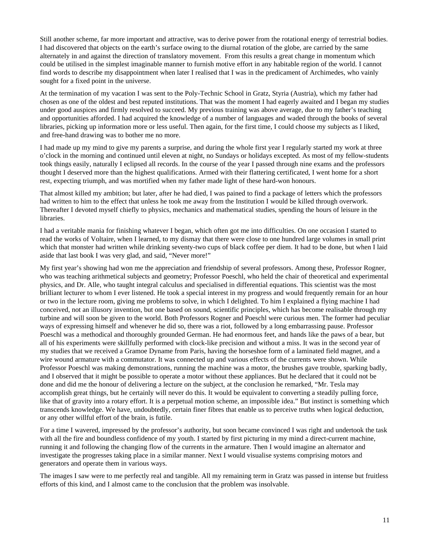Still another scheme, far more important and attractive, was to derive power from the rotational energy of terrestrial bodies. I had discovered that objects on the earth's surface owing to the diurnal rotation of the globe, are carried by the same alternately in and against the direction of translatory movement. From this results a great change in momentum which could be utilised in the simplest imaginable manner to furnish motive effort in any habitable region of the world. I cannot find words to describe my disappointment when later I realised that I was in the predicament of Archimedes, who vainly sought for a fixed point in the universe.

At the termination of my vacation I was sent to the Poly-Technic School in Gratz, Styria (Austria), which my father had chosen as one of the oldest and best reputed institutions. That was the moment I had eagerly awaited and I began my studies under good auspices and firmly resolved to succeed. My previous training was above average, due to my father's teaching and opportunities afforded. I had acquired the knowledge of a number of languages and waded through the books of several libraries, picking up information more or less useful. Then again, for the first time, I could choose my subjects as I liked, and free-hand drawing was to bother me no more.

I had made up my mind to give my parents a surprise, and during the whole first year I regularly started my work at three o'clock in the morning and continued until eleven at night, no Sundays or holidays excepted. As most of my fellow-students took things easily, naturally I eclipsed all records. In the course of the year I passed through nine exams and the professors thought I deserved more than the highest qualifications. Armed with their flattering certificated, I went home for a short rest, expecting triumph, and was mortified when my father made light of these hard-won honours.

That almost killed my ambition; but later, after he had died, I was pained to find a package of letters which the professors had written to him to the effect that unless he took me away from the Institution I would be killed through overwork. Thereafter I devoted myself chiefly to physics, mechanics and mathematical studies, spending the hours of leisure in the libraries.

I had a veritable mania for finishing whatever I began, which often got me into difficulties. On one occasion I started to read the works of Voltaire, when I learned, to my dismay that there were close to one hundred large volumes in small print which that monster had written while drinking seventy-two cups of black coffee per diem. It had to be done, but when I laid aside that last book I was very glad, and said, "Never more!"

My first year's showing had won me the appreciation and friendship of several professors. Among these, Professor Rogner, who was teaching arithmetical subjects and geometry; Professor Poeschl, who held the chair of theoretical and experimental physics, and Dr. Alle, who taught integral calculus and specialised in differential equations. This scientist was the most brilliant lecturer to whom I ever listened. He took a special interest in my progress and would frequently remain for an hour or two in the lecture room, giving me problems to solve, in which I delighted. To him I explained a flying machine I had conceived, not an illusory invention, but one based on sound, scientific principles, which has become realisable through my turbine and will soon be given to the world. Both Professors Rogner and Poeschl were curious men. The former had peculiar ways of expressing himself and whenever he did so, there was a riot, followed by a long embarrassing pause. Professor Poeschl was a methodical and thoroughly grounded German. He had enormous feet, and hands like the paws of a bear, but all of his experiments were skillfully performed with clock-like precision and without a miss. It was in the second year of my studies that we received a Gramoe Dyname from Paris, having the horseshoe form of a laminated field magnet, and a wire wound armature with a commutator. It was connected up and various effects of the currents were shown. While Professor Poeschl was making demonstrations, running the machine was a motor, the brushes gave trouble, sparking badly, and I observed that it might be possible to operate a motor without these appliances. But he declared that it could not be done and did me the honour of delivering a lecture on the subject, at the conclusion he remarked, "Mr. Tesla may accomplish great things, but he certainly will never do this. It would be equivalent to converting a steadily pulling force, like that of gravity into a rotary effort. It is a perpetual motion scheme, an impossible idea." But instinct is something which transcends knowledge. We have, undoubtedly, certain finer fibres that enable us to perceive truths when logical deduction, or any other willful effort of the brain, is futile.

For a time I wavered, impressed by the professor's authority, but soon became convinced I was right and undertook the task with all the fire and boundless confidence of my youth. I started by first picturing in my mind a direct-current machine, running it and following the changing flow of the currents in the armature. Then I would imagine an alternator and investigate the progresses taking place in a similar manner. Next I would visualise systems comprising motors and generators and operate them in various ways.

The images I saw were to me perfectly real and tangible. All my remaining term in Gratz was passed in intense but fruitless efforts of this kind, and I almost came to the conclusion that the problem was insolvable.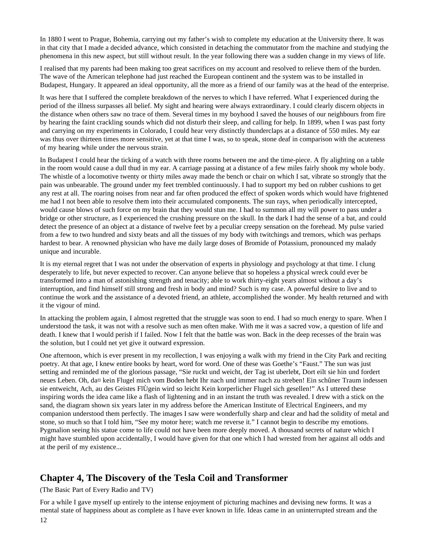In 1880 I went to Prague, Bohemia, carrying out my father's wish to complete my education at the University there. It was in that city that I made a decided advance, which consisted in detaching the commutator from the machine and studying the phenomena in this new aspect, but still without result. In the year following there was a sudden change in my views of life.

I realised that my parents had been making too great sacrifices on my account and resolved to relieve them of the burden. The wave of the American telephone had just reached the European continent and the system was to be installed in Budapest, Hungary. It appeared an ideal opportunity, all the more as a friend of our family was at the head of the enterprise.

It was here that I suffered the complete breakdown of the nerves to which I have referred. What I experienced during the period of the illness surpasses all belief. My sight and hearing were always extraordinary. I could clearly discern objects in the distance when others saw no trace of them. Several times in my boyhood I saved the houses of our neighbours from fire by hearing the faint crackling sounds which did not disturb their sleep, and calling for help. In 1899, when I was past forty and carrying on my experiments in Colorado, I could hear very distinctly thunderclaps at a distance of 550 miles. My ear was thus over thirteen times more sensitive, yet at that time I was, so to speak, stone deaf in comparison with the acuteness of my hearing while under the nervous strain.

In Budapest I could hear the ticking of a watch with three rooms between me and the time-piece. A fly alighting on a table in the room would cause a dull thud in my ear. A carriage passing at a distance of a few miles fairly shook my whole body. The whistle of a locomotive twenty or thirty miles away made the bench or chair on which I sat, vibrate so strongly that the pain was unbearable. The ground under my feet trembled continuously. I had to support my bed on rubber cushions to get any rest at all. The roaring noises from near and far often produced the effect of spoken words which would have frightened me had I not been able to resolve them into their accumulated components. The sun rays, when periodically intercepted, would cause blows of such force on my brain that they would stun me. I had to summon all my will power to pass under a bridge or other structure, as I experienced the crushing pressure on the skull. In the dark I had the sense of a bat, and could detect the presence of an object at a distance of twelve feet by a peculiar creepy sensation on the forehead. My pulse varied from a few to two hundred and sixty beats and all the tissues of my body with twitchings and tremors, which was perhaps hardest to bear. A renowned physician who have me daily large doses of Bromide of Potassium, pronounced my malady unique and incurable.

It is my eternal regret that I was not under the observation of experts in physiology and psychology at that time. I clung desperately to life, but never expected to recover. Can anyone believe that so hopeless a physical wreck could ever be transformed into a man of astonishing strength and tenacity; able to work thirty-eight years almost without a day's interruption, and find himself still strong and fresh in body and mind? Such is my case. A powerful desire to live and to continue the work and the assistance of a devoted friend, an athlete, accomplished the wonder. My health returned and with it the vigour of mind.

In attacking the problem again, I almost regretted that the struggle was soon to end. I had so much energy to spare. When I understood the task, it was not with a resolve such as men often make. With me it was a sacred vow, a question of life and death. I knew that I would perish if I failed. Now I felt that the battle was won. Back in the deep recesses of the brain was the solution, but I could net yet give it outward expression.

One afternoon, which is ever present in my recollection, I was enjoying a walk with my friend in the City Park and reciting poetry. At that age, I knew entire books by heart, word for word. One of these was Goethe's "Faust." The sun was just setting and reminded me of the glorious passage, "Sie ruckt und weicht, der Tag ist uberlebt, Dort eilt sie hin und fordert neues Leben. Oh, da¤ kein Flugel mich vom Boden hebt Ihr nach und immer nach zu streben! Ein schûner Traum indessen sie entweicht, Ach, au des Geistes FlÙgein wird so leicht Kein korperlicher Flugel sich gesellen!" As I uttered these inspiring words the idea came like a flash of lightening and in an instant the truth was revealed. I drew with a stick on the sand, the diagram shown six years later in my address before the American Institute of Electrical Engineers, and my companion understood them perfectly. The images I saw were wonderfully sharp and clear and had the solidity of metal and stone, so much so that I told him, "See my motor here; watch me reverse it." I cannot begin to describe my emotions. Pygmalion seeing his statue come to life could not have been more deeply moved. A thousand secrets of nature which I might have stumbled upon accidentally, I would have given for that one which I had wrested from her against all odds and at the peril of my existence...

# **Chapter 4, The Discovery of the Tesla Coil and Transformer**

(The Basic Part of Every Radio and TV)

For a while I gave myself up entirely to the intense enjoyment of picturing machines and devising new forms. It was a mental state of happiness about as complete as I have ever known in life. Ideas came in an uninterrupted stream and the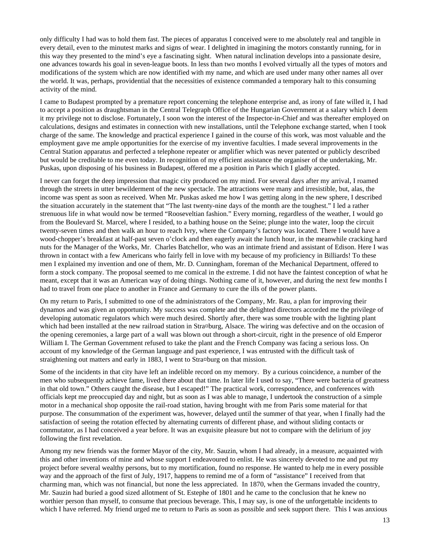only difficulty I had was to hold them fast. The pieces of apparatus I conceived were to me absolutely real and tangible in every detail, even to the minutest marks and signs of wear. I delighted in imagining the motors constantly running, for in this way they presented to the mind's eye a fascinating sight. When natural inclination develops into a passionate desire, one advances towards his goal in seven-league boots. In less than two months I evolved virtually all the types of motors and modifications of the system which are now identified with my name, and which are used under many other names all over the world. It was, perhaps, providential that the necessities of existence commanded a temporary halt to this consuming activity of the mind.

I came to Budapest prompted by a premature report concerning the telephone enterprise and, as irony of fate willed it, I had to accept a position as draughtsman in the Central Telegraph Office of the Hungarian Government at a salary which I deem it my privilege not to disclose. Fortunately, I soon won the interest of the Inspector-in-Chief and was thereafter employed on calculations, designs and estimates in connection with new installations, until the Telephone exchange started, when I took charge of the same. The knowledge and practical experience I gained in the course of this work, was most valuable and the employment gave me ample opportunities for the exercise of my inventive faculties. I made several improvements in the Central Station apparatus and perfected a telephone repeater or amplifier which was never patented or publicly described but would be creditable to me even today. In recognition of my efficient assistance the organiser of the undertaking, Mr. Puskas, upon disposing of his business in Budapest, offered me a position in Paris which I gladly accepted.

I never can forget the deep impression that magic city produced on my mind. For several days after my arrival, I roamed through the streets in utter bewilderment of the new spectacle. The attractions were many and irresistible, but, alas, the income was spent as soon as received. When Mr. Puskas asked me how I was getting along in the new sphere, I described the situation accurately in the statement that "The last twenty-nine days of the month are the toughest." I led a rather strenuous life in what would now be termed "Rooseveltian fashion." Every morning, regardless of the weather, I would go from the Boulevard St. Marcel, where I resided, to a bathing house on the Seine; plunge into the water, loop the circuit twenty-seven times and then walk an hour to reach Ivry, where the Company's factory was located. There I would have a wood-chopper's breakfast at half-past seven o'clock and then eagerly await the lunch hour, in the meanwhile cracking hard nuts for the Manager of the Works, Mr. Charles Batchellor, who was an intimate friend and assistant of Edison. Here I was thrown in contact with a few Americans who fairly fell in love with my because of my proficiency in Billiards! To these men I explained my invention and one of them, Mr. D. Cunningham, foreman of the Mechanical Department, offered to form a stock company. The proposal seemed to me comical in the extreme. I did not have the faintest conception of what he meant, except that it was an American way of doing things. Nothing came of it, however, and during the next few months I had to travel from one place to another in France and Germany to cure the ills of the power plants.

On my return to Paris, I submitted to one of the administrators of the Company, Mr. Rau, a plan for improving their dynamos and was given an opportunity. My success was complete and the delighted directors accorded me the privilege of developing automatic regulators which were much desired. Shortly after, there was some trouble with the lighting plant which had been installed at the new railroad station in Stra¤burg, Alsace. The wiring was defective and on the occasion of the opening ceremonies, a large part of a wall was blown out through a short-circuit, right in the presence of old Emperor William I. The German Government refused to take the plant and the French Company was facing a serious loss. On account of my knowledge of the German language and past experience, I was entrusted with the difficult task of straightening out matters and early in 1883, I went to Stra¤burg on that mission.

Some of the incidents in that city have left an indelible record on my memory. By a curious coincidence, a number of the men who subsequently achieve fame, lived there about that time. In later life I used to say, "There were bacteria of greatness in that old town." Others caught the disease, but I escaped!" The practical work, correspondence, and conferences with officials kept me preoccupied day and night, but as soon as I was able to manage, I undertook the construction of a simple motor in a mechanical shop opposite the rail-road station, having brought with me from Paris some material for that purpose. The consummation of the experiment was, however, delayed until the summer of that year, when I finally had the satisfaction of seeing the rotation effected by alternating currents of different phase, and without sliding contacts or commutator, as I had conceived a year before. It was an exquisite pleasure but not to compare with the delirium of joy following the first revelation.

Among my new friends was the former Mayor of the city, Mr. Sauzin, whom I had already, in a measure, acquainted with this and other inventions of mine and whose support I endeavoured to enlist. He was sincerely devoted to me and put my project before several wealthy persons, but to my mortification, found no response. He wanted to help me in every possible way and the approach of the first of July, 1917, happens to remind me of a form of "assistance" I received from that charming man, which was not financial, but none the less appreciated. In 1870, when the Germans invaded the country, Mr. Sauzin had buried a good sized allotment of St. Estephe of 1801 and he came to the conclusion that he knew no worthier person than myself, to consume that precious beverage. This, I may say, is one of the unforgettable incidents to which I have referred. My friend urged me to return to Paris as soon as possible and seek support there. This I was anxious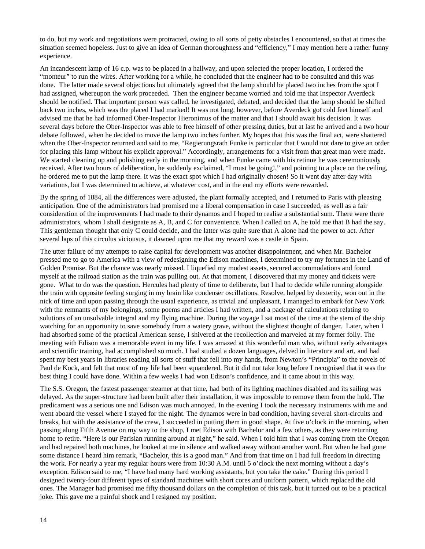to do, but my work and negotiations were protracted, owing to all sorts of petty obstacles I encountered, so that at times the situation seemed hopeless. Just to give an idea of German thoroughness and "efficiency," I may mention here a rather funny experience.

An incandescent lamp of 16 c.p. was to be placed in a hallway, and upon selected the proper location, I ordered the "monteur" to run the wires. After working for a while, he concluded that the engineer had to be consulted and this was done. The latter made several objections but ultimately agreed that the lamp should be placed two inches from the spot I had assigned, whereupon the work proceeded. Then the engineer became worried and told me that Inspector Averdeck should be notified. That important person was called, he investigated, debated, and decided that the lamp should be shifted back two inches, which was the placed I had marked! It was not long, however, before Averdeck got cold feet himself and advised me that he had informed Ober-Inspector Hieronimus of the matter and that I should await his decision. It was several days before the Ober-Inspector was able to free himself of other pressing duties, but at last he arrived and a two hour debate followed, when he decided to move the lamp two inches further. My hopes that this was the final act, were shattered when the Ober-Inspector returned and said to me, "Regierungsrath Funke is particular that I would not dare to give an order for placing this lamp without his explicit approval." Accordingly, arrangements for a visit from that great man were made. We started cleaning up and polishing early in the morning, and when Funke came with his retinue he was ceremoniously received. After two hours of deliberation, he suddenly exclaimed, "I must be going!," and pointing to a place on the ceiling, he ordered me to put the lamp there. It was the exact spot which I had originally chosen! So it went day after day with variations, but I was determined to achieve, at whatever cost, and in the end my efforts were rewarded.

By the spring of 1884, all the differences were adjusted, the plant formally accepted, and I returned to Paris with pleasing anticipation. One of the administrators had promised me a liberal compensation in case I succeeded, as well as a fair consideration of the improvements I had made to their dynamos and I hoped to realise a substantial sum. There were three administrators, whom I shall designate as A, B, and C for convenience. When I called on A, he told me that B had the say. This gentleman thought that only C could decide, and the latter was quite sure that A alone had the power to act. After several laps of this circulus viciousus, it dawned upon me that my reward was a castle in Spain.

The utter failure of my attempts to raise capital for development was another disappointment, and when Mr. Bachelor pressed me to go to America with a view of redesigning the Edison machines, I determined to try my fortunes in the Land of Golden Promise. But the chance was nearly missed. I liquefied my modest assets, secured accommodations and found myself at the railroad station as the train was pulling out. At that moment, I discovered that my money and tickets were gone. What to do was the question. Hercules had plenty of time to deliberate, but I had to decide while running alongside the train with opposite feeling surging in my brain like condenser oscillations. Resolve, helped by dexterity, won out in the nick of time and upon passing through the usual experience, as trivial and unpleasant, I managed to embark for New York with the remnants of my belongings, some poems and articles I had written, and a package of calculations relating to solutions of an unsolvable integral and my flying machine. During the voyage I sat most of the time at the stern of the ship watching for an opportunity to save somebody from a watery grave, without the slightest thought of danger. Later, when I had absorbed some of the practical American sense, I shivered at the recollection and marveled at my former folly. The meeting with Edison was a memorable event in my life. I was amazed at this wonderful man who, without early advantages and scientific training, had accomplished so much. I had studied a dozen languages, delved in literature and art, and had spent my best years in libraries reading all sorts of stuff that fell into my hands, from Newton's "Principia" to the novels of Paul de Kock, and felt that most of my life had been squandered. But it did not take long before I recognised that it was the best thing I could have done. Within a few weeks I had won Edison's confidence, and it came about in this way.

The S.S. Oregon, the fastest passenger steamer at that time, had both of its lighting machines disabled and its sailing was delayed. As the super-structure had been built after their installation, it was impossible to remove them from the hold. The predicament was a serious one and Edison was much annoyed. In the evening I took the necessary instruments with me and went aboard the vessel where I stayed for the night. The dynamos were in bad condition, having several short-circuits and breaks, but with the assistance of the crew, I succeeded in putting them in good shape. At five o'clock in the morning, when passing along Fifth Avenue on my way to the shop, I met Edison with Bachelor and a few others, as they were returning home to retire. "Here is our Parisian running around at night," he said. When I told him that I was coming from the Oregon and had repaired both machines, he looked at me in silence and walked away without another word. But when he had gone some distance I heard him remark, "Bachelor, this is a good man." And from that time on I had full freedom in directing the work. For nearly a year my regular hours were from 10:30 A.M. until 5 o'clock the next morning without a day's exception. Edison said to me, "I have had many hard working assistants, but you take the cake." During this period I designed twenty-four different types of standard machines with short cores and uniform pattern, which replaced the old ones. The Manager had promised me fifty thousand dollars on the completion of this task, but it turned out to be a practical joke. This gave me a painful shock and I resigned my position.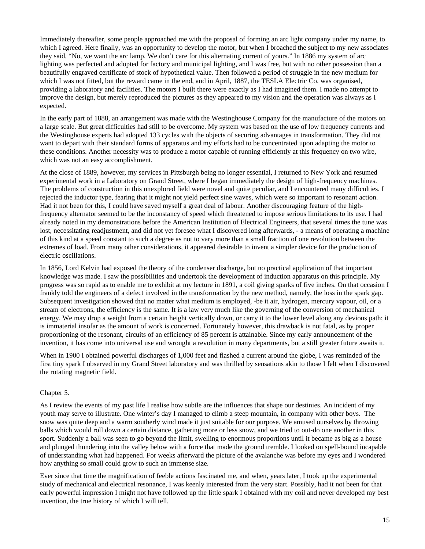Immediately thereafter, some people approached me with the proposal of forming an arc light company under my name, to which I agreed. Here finally, was an opportunity to develop the motor, but when I broached the subject to my new associates they said, "No, we want the arc lamp. We don't care for this alternating current of yours." In 1886 my system of arc lighting was perfected and adopted for factory and municipal lighting, and I was free, but with no other possession than a beautifully engraved certificate of stock of hypothetical value. Then followed a period of struggle in the new medium for which I was not fitted, but the reward came in the end, and in April, 1887, the TESLA Electric Co. was organised, providing a laboratory and facilities. The motors I built there were exactly as I had imagined them. I made no attempt to improve the design, but merely reproduced the pictures as they appeared to my vision and the operation was always as I expected.

In the early part of 1888, an arrangement was made with the Westinghouse Company for the manufacture of the motors on a large scale. But great difficulties had still to be overcome. My system was based on the use of low frequency currents and the Westinghouse experts had adopted 133 cycles with the objects of securing advantages in transformation. They did not want to depart with their standard forms of apparatus and my efforts had to be concentrated upon adapting the motor to these conditions. Another necessity was to produce a motor capable of running efficiently at this frequency on two wire, which was not an easy accomplishment.

At the close of 1889, however, my services in Pittsburgh being no longer essential, I returned to New York and resumed experimental work in a Laboratory on Grand Street, where I began immediately the design of high-frequency machines. The problems of construction in this unexplored field were novel and quite peculiar, and I encountered many difficulties. I rejected the inductor type, fearing that it might not yield perfect sine waves, which were so important to resonant action. Had it not been for this, I could have saved myself a great deal of labour. Another discouraging feature of the highfrequency alternator seemed to be the inconstancy of speed which threatened to impose serious limitations to its use. I had already noted in my demonstrations before the American Institution of Electrical Engineers, that several times the tune was lost, necessitating readjustment, and did not yet foresee what I discovered long afterwards, - a means of operating a machine of this kind at a speed constant to such a degree as not to vary more than a small fraction of one revolution between the extremes of load. From many other considerations, it appeared desirable to invent a simpler device for the production of electric oscillations.

In 1856, Lord Kelvin had exposed the theory of the condenser discharge, but no practical application of that important knowledge was made. I saw the possibilities and undertook the development of induction apparatus on this principle. My progress was so rapid as to enable me to exhibit at my lecture in 1891, a coil giving sparks of five inches. On that occasion I frankly told the engineers of a defect involved in the transformation by the new method, namely, the loss in the spark gap. Subsequent investigation showed that no matter what medium is employed, -be it air, hydrogen, mercury vapour, oil, or a stream of electrons, the efficiency is the same. It is a law very much like the governing of the conversion of mechanical energy. We may drop a weight from a certain height vertically down, or carry it to the lower level along any devious path; it is immaterial insofar as the amount of work is concerned. Fortunately however, this drawback is not fatal, as by proper proportioning of the resonant, circuits of an efficiency of 85 percent is attainable. Since my early announcement of the invention, it has come into universal use and wrought a revolution in many departments, but a still greater future awaits it.

When in 1900 I obtained powerful discharges of 1,000 feet and flashed a current around the globe, I was reminded of the first tiny spark I observed in my Grand Street laboratory and was thrilled by sensations akin to those I felt when I discovered the rotating magnetic field.

#### Chapter 5.

As I review the events of my past life I realise how subtle are the influences that shape our destinies. An incident of my youth may serve to illustrate. One winter's day I managed to climb a steep mountain, in company with other boys. The snow was quite deep and a warm southerly wind made it just suitable for our purpose. We amused ourselves by throwing balls which would roll down a certain distance, gathering more or less snow, and we tried to out-do one another in this sport. Suddenly a ball was seen to go beyond the limit, swelling to enormous proportions until it became as big as a house and plunged thundering into the valley below with a force that made the ground tremble. I looked on spell-bound incapable of understanding what had happened. For weeks afterward the picture of the avalanche was before my eyes and I wondered how anything so small could grow to such an immense size.

Ever since that time the magnification of feeble actions fascinated me, and when, years later, I took up the experimental study of mechanical and electrical resonance, I was keenly interested from the very start. Possibly, had it not been for that early powerful impression I might not have followed up the little spark I obtained with my coil and never developed my best invention, the true history of which I will tell.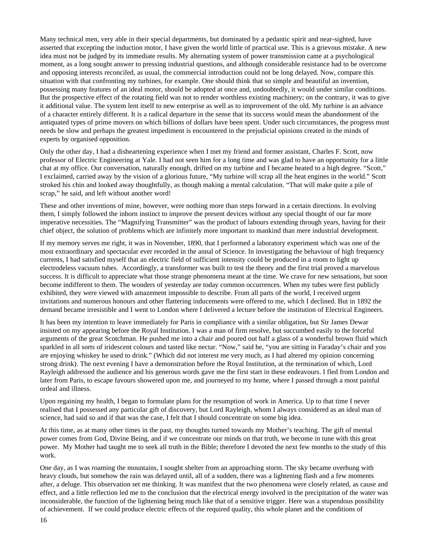Many technical men, very able in their special departments, but dominated by a pedantic spirit and near-sighted, have asserted that excepting the induction motor, I have given the world little of practical use. This is a grievous mistake. A new idea must not be judged by its immediate results. My alternating system of power transmission came at a psychological moment, as a long sought answer to pressing industrial questions, and although considerable resistance had to be overcome and opposing interests reconciled, as usual, the commercial introduction could not be long delayed. Now, compare this situation with that confronting my turbines, for example. One should think that so simple and beautiful an invention, possessing many features of an ideal motor, should be adopted at once and, undoubtedly, it would under similar conditions. But the prospective effect of the rotating field was not to render worthless existing machinery; on the contrary, it was to give it additional value. The system lent itself to new enterprise as well as to improvement of the old. My turbine is an advance of a character entirely different. It is a radical departure in the sense that its success would mean the abandonment of the antiquated types of prime movers on which billions of dollars have been spent. Under such circumstances, the progress must needs be slow and perhaps the greatest impediment is encountered in the prejudicial opinions created in the minds of experts by organised opposition.

Only the other day, I had a disheartening experience when I met my friend and former assistant, Charles F. Scott, now professor of Electric Engineering at Yale. I had not seen him for a long time and was glad to have an opportunity for a little chat at my office. Our conversation, naturally enough, drifted on my turbine and I became heated to a high degree. "Scott," I exclaimed, carried away by the vision of a glorious future, "My turbine will scrap all the heat engines in the world." Scott stroked his chin and looked away thoughtfully, as though making a mental calculation. "That will make quite a pile of scrap," he said, and left without another word!

These and other inventions of mine, however, were nothing more than steps forward in a certain directions. In evolving them, I simply followed the inborn instinct to improve the present devices without any special thought of our far more imperative necessities. The "Magnifying Transmitter" was the product of labours extending through years, having for their chief object, the solution of problems which are infinitely more important to mankind than mere industrial development.

If my memory serves me right, it was in November, 1890, that I performed a laboratory experiment which was one of the most extraordinary and spectacular ever recorded in the annal of Science. In investigating the behaviour of high frequency currents, I had satisfied myself that an electric field of sufficient intensity could be produced in a room to light up electrodeless vacuum tubes. Accordingly, a transformer was built to test the theory and the first trial proved a marvelous success. It is difficult to appreciate what those strange phenomena meant at the time. We crave for new sensations, but soon become indifferent to them. The wonders of yesterday are today common occurrences. When my tubes were first publicly exhibited, they were viewed with amazement impossible to describe. From all parts of the world, I received urgent invitations and numerous honours and other flattering inducements were offered to me, which I declined. But in 1892 the demand became irresistible and I went to London where I delivered a lecture before the institution of Electrical Engineers.

It has been my intention to leave immediately for Paris in compliance with a similar obligation, but Sir James Dewar insisted on my appearing before the Royal Institution. I was a man of firm resolve, but succumbed easily to the forceful arguments of the great Scotchman. He pushed me into a chair and poured out half a glass of a wonderful brown fluid which sparkled in all sorts of iridescent colours and tasted like nectar. "Now," said he, "you are sitting in Faraday's chair and you are enjoying whiskey he used to drink." (Which did not interest me very much, as I had altered my opinion concerning strong drink). The next evening I have a demonstration before the Royal Institution, at the termination of which, Lord Rayleigh addressed the audience and his generous words gave me the first start in these endeavours. I fled from London and later from Paris, to escape favours showered upon me, and journeyed to my home, where I passed through a most painful ordeal and illness.

Upon regaining my health, I began to formulate plans for the resumption of work in America. Up to that time I never realised that I possessed any particular gift of discovery, but Lord Rayleigh, whom I always considered as an ideal man of science, had said so and if that was the case, I felt that I should concentrate on some big idea.

At this time, as at many other times in the past, my thoughts turned towards my Mother's teaching. The gift of mental power comes from God, Divine Being, and if we concentrate our minds on that truth, we become in tune with this great power. My Mother had taught me to seek all truth in the Bible; therefore I devoted the next few months to the study of this work.

One day, as I was roaming the mountains, I sought shelter from an approaching storm. The sky became overhung with heavy clouds, but somehow the rain was delayed until, all of a sudden, there was a lightening flash and a few moments after, a deluge. This observation set me thinking. It was manifest that the two phenomena were closely related, as cause and effect, and a little reflection led me to the conclusion that the electrical energy involved in the precipitation of the water was inconsiderable, the function of the lightening being much like that of a sensitive trigger. Here was a stupendous possibility of achievement. If we could produce electric effects of the required quality, this whole planet and the conditions of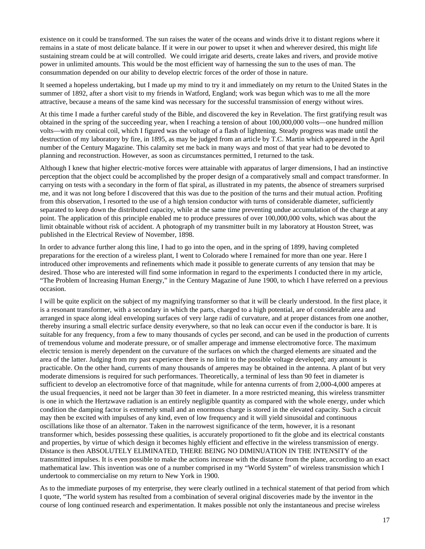existence on it could be transformed. The sun raises the water of the oceans and winds drive it to distant regions where it remains in a state of most delicate balance. If it were in our power to upset it when and wherever desired, this might life sustaining stream could be at will controlled. We could irrigate arid deserts, create lakes and rivers, and provide motive power in unlimited amounts. This would be the most efficient way of harnessing the sun to the uses of man. The consummation depended on our ability to develop electric forces of the order of those in nature.

It seemed a hopeless undertaking, but I made up my mind to try it and immediately on my return to the United States in the summer of 1892, after a short visit to my friends in Watford, England; work was begun which was to me all the more attractive, because a means of the same kind was necessary for the successful transmission of energy without wires.

At this time I made a further careful study of the Bible, and discovered the key in Revelation. The first gratifying result was obtained in the spring of the succeeding year, when I reaching a tension of about 100,000,000 volts—one hundred million volts—with my conical coil, which I figured was the voltage of a flash of lightening. Steady progress was made until the destruction of my laboratory by fire, in 1895, as may be judged from an article by T.C. Martin which appeared in the April number of the Century Magazine. This calamity set me back in many ways and most of that year had to be devoted to planning and reconstruction. However, as soon as circumstances permitted, I returned to the task.

Although I knew that higher electric-motive forces were attainable with apparatus of larger dimensions, I had an instinctive perception that the object could be accomplished by the proper design of a comparatively small and compact transformer. In carrying on tests with a secondary in the form of flat spiral, as illustrated in my patents, the absence of streamers surprised me, and it was not long before I discovered that this was due to the position of the turns and their mutual action. Profiting from this observation, I resorted to the use of a high tension conductor with turns of considerable diameter, sufficiently separated to keep down the distributed capacity, while at the same time preventing undue accumulation of the charge at any point. The application of this principle enabled me to produce pressures of over 100,000,000 volts, which was about the limit obtainable without risk of accident. A photograph of my transmitter built in my laboratory at Houston Street, was published in the Electrical Review of November, 1898.

In order to advance further along this line, I had to go into the open, and in the spring of 1899, having completed preparations for the erection of a wireless plant, I went to Colorado where I remained for more than one year. Here I introduced other improvements and refinements which made it possible to generate currents of any tension that may be desired. Those who are interested will find some information in regard to the experiments I conducted there in my article, "The Problem of Increasing Human Energy," in the Century Magazine of June 1900, to which I have referred on a previous occasion.

I will be quite explicit on the subject of my magnifying transformer so that it will be clearly understood. In the first place, it is a resonant transformer, with a secondary in which the parts, charged to a high potential, are of considerable area and arranged in space along ideal enveloping surfaces of very large radii of curvature, and at proper distances from one another, thereby insuring a small electric surface density everywhere, so that no leak can occur even if the conductor is bare. It is suitable for any frequency, from a few to many thousands of cycles per second, and can be used in the production of currents of tremendous volume and moderate pressure, or of smaller amperage and immense electromotive force. The maximum electric tension is merely dependent on the curvature of the surfaces on which the charged elements are situated and the area of the latter. Judging from my past experience there is no limit to the possible voltage developed; any amount is practicable. On the other hand, currents of many thousands of amperes may be obtained in the antenna. A plant of but very moderate dimensions is required for such performances. Theoretically, a terminal of less than 90 feet in diameter is sufficient to develop an electromotive force of that magnitude, while for antenna currents of from 2,000-4,000 amperes at the usual frequencies, it need not be larger than 30 feet in diameter. In a more restricted meaning, this wireless transmitter is one in which the Hertzwave radiation is an entirely negligible quantity as compared with the whole energy, under which condition the damping factor is extremely small and an enormous charge is stored in the elevated capacity. Such a circuit may then be excited with impulses of any kind, even of low frequency and it will yield sinusoidal and continuous oscillations like those of an alternator. Taken in the narrowest significance of the term, however, it is a resonant transformer which, besides possessing these qualities, is accurately proportioned to fit the globe and its electrical constants and properties, by virtue of which design it becomes highly efficient and effective in the wireless transmission of energy. Distance is then ABSOLUTELY ELIMINATED, THERE BEING NO DIMINUATION IN THE INTENSITY of the transmitted impulses. It is even possible to make the actions increase with the distance from the plane, according to an exact mathematical law. This invention was one of a number comprised in my "World System" of wireless transmission which I undertook to commercialise on my return to New York in 1900.

As to the immediate purposes of my enterprise, they were clearly outlined in a technical statement of that period from which I quote, "The world system has resulted from a combination of several original discoveries made by the inventor in the course of long continued research and experimentation. It makes possible not only the instantaneous and precise wireless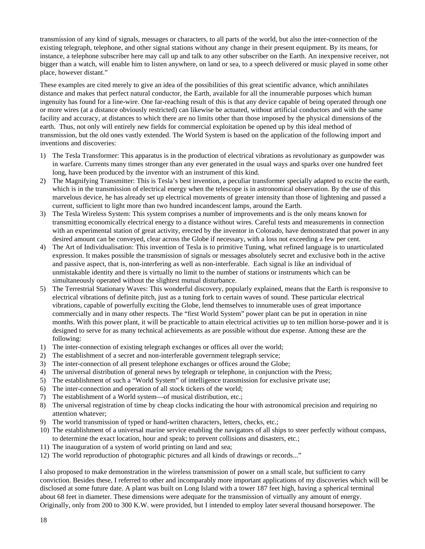transmission of any kind of signals, messages or characters, to all parts of the world, but also the inter-connection of the existing telegraph, telephone, and other signal stations without any change in their present equipment. By its means, for instance, a telephone subscriber here may call up and talk to any other subscriber on the Earth. An inexpensive receiver, not bigger than a watch, will enable him to listen anywhere, on land or sea, to a speech delivered or music played in some other place, however distant."

These examples are cited merely to give an idea of the possibilities of this great scientific advance, which annihilates distance and makes that perfect natural conductor, the Earth, available for all the innumerable purposes which human ingenuity has found for a line-wire. One far-reaching result of this is that any device capable of being operated through one or more wires (at a distance obviously restricted) can likewise be actuated, without artificial conductors and with the same facility and accuracy, at distances to which there are no limits other than those imposed by the physical dimensions of the earth. Thus, not only will entirely new fields for commercial exploitation be opened up by this ideal method of transmission, but the old ones vastly extended. The World System is based on the application of the following import and inventions and discoveries:

- 1) The Tesla Transformer: This apparatus is in the production of electrical vibrations as revolutionary as gunpowder was in warfare. Currents many times stronger than any ever generated in the usual ways and sparks over one hundred feet long, have been produced by the inventor with an instrument of this kind.
- 2) The Magnifying Transmitter: This is Tesla's best invention, a peculiar transformer specially adapted to excite the earth, which is in the transmission of electrical energy when the telescope is in astronomical observation. By the use of this marvelous device, he has already set up electrical movements of greater intensity than those of lightening and passed a current, sufficient to light more than two hundred incandescent lamps, around the Earth.
- 3) The Tesla Wireless System: This system comprises a number of improvements and is the only means known for transmitting economically electrical energy to a distance without wires. Careful tests and measurements in connection with an experimental station of great activity, erected by the inventor in Colorado, have demonstrated that power in any desired amount can be conveyed, clear across the Globe if necessary, with a loss not exceeding a few per cent.
- 4) The Art of Individualisation: This invention of Tesla is to primitive Tuning, what refined language is to unarticulated expression. It makes possible the transmission of signals or messages absolutely secret and exclusive both in the active and passive aspect, that is, non-interfering as well as non-interferable. Each signal is like an individual of unmistakable identity and there is virtually no limit to the number of stations or instruments which can be simultaneously operated without the slightest mutual disturbance.
- 5) The Terrestrial Stationary Waves: This wonderful discovery, popularly explained, means that the Earth is responsive to electrical vibrations of definite pitch, just as a tuning fork to certain waves of sound. These particular electrical vibrations, capable of powerfully exciting the Globe, lend themselves to innumerable uses of great importance commercially and in many other respects. The "first World System" power plant can be put in operation in nine months. With this power plant, it will be practicable to attain electrical activities up to ten million horse-power and it is designed to serve for as many technical achievements as are possible without due expense. Among these are the following:
- 1) The inter-connection of existing telegraph exchanges or offices all over the world;
- 2) The establishment of a secret and non-interferable government telegraph service;
- 3) The inter-connection of all present telephone exchanges or offices around the Globe;
- 4) The universal distribution of general news by telegraph or telephone, in conjunction with the Press;
- 5) The establishment of such a "World System" of intelligence transmission for exclusive private use;
- 6) The inter-connection and operation of all stock tickers of the world;
- 7) The establishment of a World system—of musical distribution, etc.;
- 8) The universal registration of time by cheap clocks indicating the hour with astronomical precision and requiring no attention whatever;
- 9) The world transmission of typed or hand-written characters, letters, checks, etc.;
- 10) The establishment of a universal marine service enabling the navigators of all ships to steer perfectly without compass, to determine the exact location, hour and speak; to prevent collisions and disasters, etc.;
- 11) The inauguration of a system of world printing on land and sea;
- 12) The world reproduction of photographic pictures and all kinds of drawings or records..."

I also proposed to make demonstration in the wireless transmission of power on a small scale, but sufficient to carry conviction. Besides these, I referred to other and incomparably more important applications of my discoveries which will be disclosed at some future date. A plant was built on Long Island with a tower 187 feet high, having a spherical terminal about 68 feet in diameter. These dimensions were adequate for the transmission of virtually any amount of energy. Originally, only from 200 to 300 K.W. were provided, but I intended to employ later several thousand horsepower. The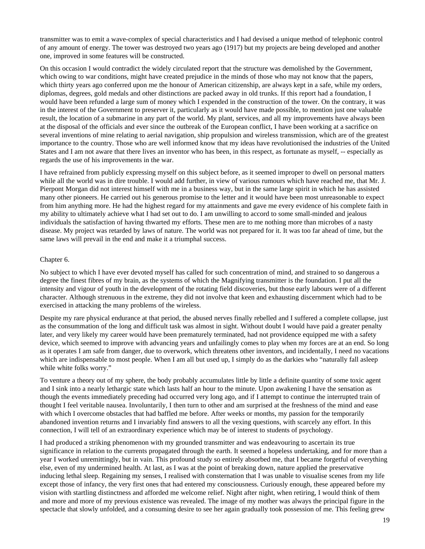transmitter was to emit a wave-complex of special characteristics and I had devised a unique method of telephonic control of any amount of energy. The tower was destroyed two years ago (1917) but my projects are being developed and another one, improved in some features will be constructed.

On this occasion I would contradict the widely circulated report that the structure was demolished by the Government, which owing to war conditions, might have created prejudice in the minds of those who may not know that the papers, which thirty years ago conferred upon me the honour of American citizenship, are always kept in a safe, while my orders, diplomas, degrees, gold medals and other distinctions are packed away in old trunks. If this report had a foundation, I would have been refunded a large sum of money which I expended in the construction of the tower. On the contrary, it was in the interest of the Government to preserver it, particularly as it would have made possible, to mention just one valuable result, the location of a submarine in any part of the world. My plant, services, and all my improvements have always been at the disposal of the officials and ever since the outbreak of the European conflict, I have been working at a sacrifice on several inventions of mine relating to aerial navigation, ship propulsion and wireless transmission, which are of the greatest importance to the country. Those who are well informed know that my ideas have revolutionised the industries of the United States and I am not aware that there lives an inventor who has been, in this respect, as fortunate as myself, -- especially as regards the use of his improvements in the war.

I have refrained from publicly expressing myself on this subject before, as it seemed improper to dwell on personal matters while all the world was in dire trouble. I would add further, in view of various rumours which have reached me, that Mr. J. Pierpont Morgan did not interest himself with me in a business way, but in the same large spirit in which he has assisted many other pioneers. He carried out his generous promise to the letter and it would have been most unreasonable to expect from him anything more. He had the highest regard for my attainments and gave me every evidence of his complete faith in my ability to ultimately achieve what I had set out to do. I am unwilling to accord to some small-minded and jealous individuals the satisfaction of having thwarted my efforts. These men are to me nothing more than microbes of a nasty disease. My project was retarded by laws of nature. The world was not prepared for it. It was too far ahead of time, but the same laws will prevail in the end and make it a triumphal success.

#### Chapter 6.

No subject to which I have ever devoted myself has called for such concentration of mind, and strained to so dangerous a degree the finest fibres of my brain, as the systems of which the Magnifying transmitter is the foundation. I put all the intensity and vigour of youth in the development of the rotating field discoveries, but those early labours were of a different character. Although strenuous in the extreme, they did not involve that keen and exhausting discernment which had to be exercised in attacking the many problems of the wireless.

Despite my rare physical endurance at that period, the abused nerves finally rebelled and I suffered a complete collapse, just as the consummation of the long and difficult task was almost in sight. Without doubt I would have paid a greater penalty later, and very likely my career would have been prematurely terminated, had not providence equipped me with a safety device, which seemed to improve with advancing years and unfailingly comes to play when my forces are at an end. So long as it operates I am safe from danger, due to overwork, which threatens other inventors, and incidentally, I need no vacations which are indispensable to most people. When I am all but used up, I simply do as the darkies who "naturally fall asleep while white folks worry."

To venture a theory out of my sphere, the body probably accumulates little by little a definite quantity of some toxic agent and I sink into a nearly lethargic state which lasts half an hour to the minute. Upon awakening I have the sensation as though the events immediately preceding had occurred very long ago, and if I attempt to continue the interrupted train of thought I feel veritable nausea. Involuntarily, I then turn to other and am surprised at the freshness of the mind and ease with which I overcome obstacles that had baffled me before. After weeks or months, my passion for the temporarily abandoned invention returns and I invariably find answers to all the vexing questions, with scarcely any effort. In this connection, I will tell of an extraordinary experience which may be of interest to students of psychology.

I had produced a striking phenomenon with my grounded transmitter and was endeavouring to ascertain its true significance in relation to the currents propagated through the earth. It seemed a hopeless undertaking, and for more than a year I worked unremittingly, but in vain. This profound study so entirely absorbed me, that I became forgetful of everything else, even of my undermined health. At last, as I was at the point of breaking down, nature applied the preservative inducing lethal sleep. Regaining my senses, I realised with consternation that I was unable to visualise scenes from my life except those of infancy, the very first ones that had entered my consciousness. Curiously enough, these appeared before my vision with startling distinctness and afforded me welcome relief. Night after night, when retiring, I would think of them and more and more of my previous existence was revealed. The image of my mother was always the principal figure in the spectacle that slowly unfolded, and a consuming desire to see her again gradually took possession of me. This feeling grew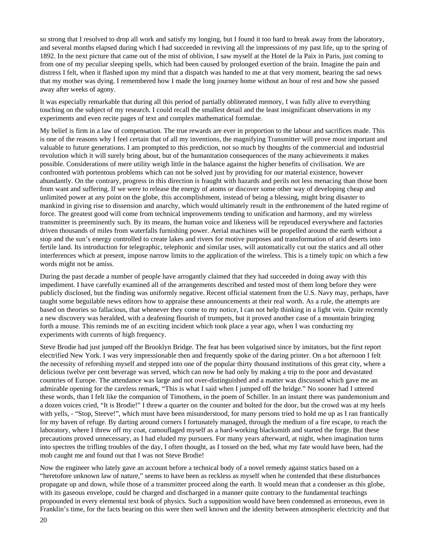so strong that I resolved to drop all work and satisfy my longing, but I found it too hard to break away from the laboratory, and several months elapsed during which I had succeeded in reviving all the impressions of my past life, up to the spring of 1892. In the next picture that came out of the mist of oblivion, I saw myself at the Hotel de la Paix in Paris, just coming to from one of my peculiar sleeping spells, which had been caused by prolonged exertion of the brain. Imagine the pain and distress I felt, when it flashed upon my mind that a dispatch was handed to me at that very moment, bearing the sad news that my mother was dying. I remembered how I made the long journey home without an hour of rest and how she passed away after weeks of agony.

It was especially remarkable that during all this period of partially obliterated memory, I was fully alive to everything touching on the subject of my research. I could recall the smallest detail and the least insignificant observations in my experiments and even recite pages of text and complex mathematical formulae.

My belief is firm in a law of compensation. The true rewards are ever in proportion to the labour and sacrifices made. This is one of the reasons why I feel certain that of all my inventions, the magnifying Transmitter will prove most important and valuable to future generations. I am prompted to this prediction, not so much by thoughts of the commercial and industrial revolution which it will surely bring about, but of the humanitation consequences of the many achievements it makes possible. Considerations of mere utility weigh little in the balance against the higher benefits of civilisation. We are confronted with portentous problems which can not be solved just by providing for our material existence, however abundantly. On the contrary, progress in this direction is fraught with hazards and perils not less menacing than those born from want and suffering. If we were to release the energy of atoms or discover some other way of developing cheap and unlimited power at any point on the globe, this accomplishment, instead of being a blessing, might bring disaster to mankind in giving rise to dissension and anarchy, which would ultimately result in the enthronement of the hated regime of force. The greatest good will come from technical improvements tending to unification and harmony, and my wireless transmitter is preeminently such. By its means, the human voice and likeness will be reproduced everywhere and factories driven thousands of miles from waterfalls furnishing power. Aerial machines will be propelled around the earth without a stop and the sun's energy controlled to create lakes and rivers for motive purposes and transformation of arid deserts into fertile land. Its introduction for telegraphic, telephonic and similar uses, will automatically cut out the statics and all other interferences which at present, impose narrow limits to the application of the wireless. This is a timely topic on which a few words might not be amiss.

During the past decade a number of people have arrogantly claimed that they had succeeded in doing away with this impediment. I have carefully examined all of the arrangements described and tested most of them long before they were publicly disclosed, but the finding was uniformly negative. Recent official statement from the U.S. Navy may, perhaps, have taught some beguilable news editors how to appraise these announcements at their real worth. As a rule, the attempts are based on theories so fallacious, that whenever they come to my notice, I can not help thinking in a light vein. Quite recently a new discovery was heralded, with a deafening flourish of trumpets, but it proved another case of a mountain bringing forth a mouse. This reminds me of an exciting incident which took place a year ago, when I was conducting my experiments with currents of high frequency.

Steve Brodie had just jumped off the Brooklyn Bridge. The feat has been vulgarised since by imitators, but the first report electrified New York. I was very impressionable then and frequently spoke of the daring printer. On a hot afternoon I felt the necessity of refreshing myself and stepped into one of the popular thirty thousand institutions of this great city, where a delicious twelve per cent beverage was served, which can now be had only by making a trip to the poor and devastated countries of Europe. The attendance was large and not over-distinguished and a matter was discussed which gave me an admirable opening for the careless remark, "This is what I said when I jumped off the bridge." No sooner had I uttered these words, than I felt like the companion of Timothens, in the poem of Schiller. In an instant there was pandemonium and a dozen voices cried, "It is Brodie!" I threw a quarter on the counter and bolted for the door, but the crowd was at my heels with yells, - "Stop, Steeve!", which must have been misunderstood, for many persons tried to hold me up as I ran frantically for my haven of refuge. By darting around corners I fortunately managed, through the medium of a fire escape, to reach the laboratory, where I threw off my coat, camouflaged myself as a hard-working blacksmith and started the forge. But these precautions proved unnecessary, as I had eluded my pursuers. For many years afterward, at night, when imagination turns into spectres the trifling troubles of the day, I often thought, as I tossed on the bed, what my fate would have been, had the mob caught me and found out that I was not Steve Brodie!

Now the engineer who lately gave an account before a technical body of a novel remedy against statics based on a "heretofore unknown law of nature," seems to have been as reckless as myself when he contended that these disturbances propagate up and down, while those of a transmitter proceed along the earth. It would mean that a condenser as this globe, with its gaseous envelope, could be charged and discharged in a manner quite contrary to the fundamental teachings propounded in every elemental text book of physics. Such a supposition would have been condemned as erroneous, even in Franklin's time, for the facts bearing on this were then well known and the identity between atmospheric electricity and that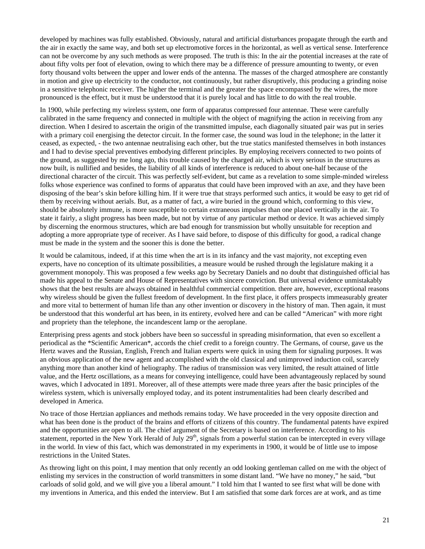developed by machines was fully established. Obviously, natural and artificial disturbances propagate through the earth and the air in exactly the same way, and both set up electromotive forces in the horizontal, as well as vertical sense. Interference can not be overcome by any such methods as were proposed. The truth is this: In the air the potential increases at the rate of about fifty volts per foot of elevation, owing to which there may be a difference of pressure amounting to twenty, or even forty thousand volts between the upper and lower ends of the antenna. The masses of the charged atmosphere are constantly in motion and give up electricity to the conductor, not continuously, but rather disruptively, this producing a grinding noise in a sensitive telephonic receiver. The higher the terminal and the greater the space encompassed by the wires, the more pronounced is the effect, but it must be understood that it is purely local and has little to do with the real trouble.

In 1900, while perfecting my wireless system, one form of apparatus compressed four antennae. These were carefully calibrated in the same frequency and connected in multiple with the object of magnifying the action in receiving from any direction. When I desired to ascertain the origin of the transmitted impulse, each diagonally situated pair was put in series with a primary coil energising the detector circuit. In the former case, the sound was loud in the telephone; in the latter it ceased, as expected, - the two antennae neutralising each other, but the true statics manifested themselves in both instances and I had to devise special preventives embodying different principles. By employing receivers connected to two points of the ground, as suggested by me long ago, this trouble caused by the charged air, which is very serious in the structures as now built, is nullified and besides, the liability of all kinds of interference is reduced to about one-half because of the directional character of the circuit. This was perfectly self-evident, but came as a revelation to some simple-minded wireless folks whose experience was confined to forms of apparatus that could have been improved with an axe, and they have been disposing of the bear's skin before killing him. If it were true that strays performed such antics, it would be easy to get rid of them by receiving without aerials. But, as a matter of fact, a wire buried in the ground which, conforming to this view, should be absolutely immune, is more susceptible to certain extraneous impulses than one placed vertically in the air. To state it fairly, a slight progress has been made, but not by virtue of any particular method or device. It was achieved simply by discerning the enormous structures, which are bad enough for transmission but wholly unsuitable for reception and adopting a more appropriate type of receiver. As I have said before, to dispose of this difficulty for good, a radical change must be made in the system and the sooner this is done the better.

It would be calamitous, indeed, if at this time when the art is in its infancy and the vast majority, not excepting even experts, have no conception of its ultimate possibilities, a measure would be rushed through the legislature making it a government monopoly. This was proposed a few weeks ago by Secretary Daniels and no doubt that distinguished official has made his appeal to the Senate and House of Representatives with sincere conviction. But universal evidence unmistakably shows that the best results are always obtained in healthful commercial competition. there are, however, exceptional reasons why wireless should be given the fullest freedom of development. In the first place, it offers prospects immeasurably greater and more vital to betterment of human life than any other invention or discovery in the history of man. Then again, it must be understood that this wonderful art has been, in its entirety, evolved here and can be called "American" with more right and propriety than the telephone, the incandescent lamp or the aeroplane.

Enterprising press agents and stock jobbers have been so successful in spreading misinformation, that even so excellent a periodical as the \*Scientific American\*, accords the chief credit to a foreign country. The Germans, of course, gave us the Hertz waves and the Russian, English, French and Italian experts were quick in using them for signaling purposes. It was an obvious application of the new agent and accomplished with the old classical and unimproved induction coil, scarcely anything more than another kind of heliography. The radius of transmission was very limited, the result attained of little value, and the Hertz oscillations, as a means for conveying intelligence, could have been advantageously replaced by sound waves, which I advocated in 1891. Moreover, all of these attempts were made three years after the basic principles of the wireless system, which is universally employed today, and its potent instrumentalities had been clearly described and developed in America.

No trace of those Hertzian appliances and methods remains today. We have proceeded in the very opposite direction and what has been done is the product of the brains and efforts of citizens of this country. The fundamental patents have expired and the opportunities are open to all. The chief argument of the Secretary is based on interference. According to his statement, reported in the New York Herald of July  $29<sup>th</sup>$ , signals from a powerful station can be intercepted in every village in the world. In view of this fact, which was demonstrated in my experiments in 1900, it would be of little use to impose restrictions in the United States.

As throwing light on this point, I may mention that only recently an odd looking gentleman called on me with the object of enlisting my services in the construction of world transmitters in some distant land. "We have no money," he said, "but carloads of solid gold, and we will give you a liberal amount." I told him that I wanted to see first what will be done with my inventions in America, and this ended the interview. But I am satisfied that some dark forces are at work, and as time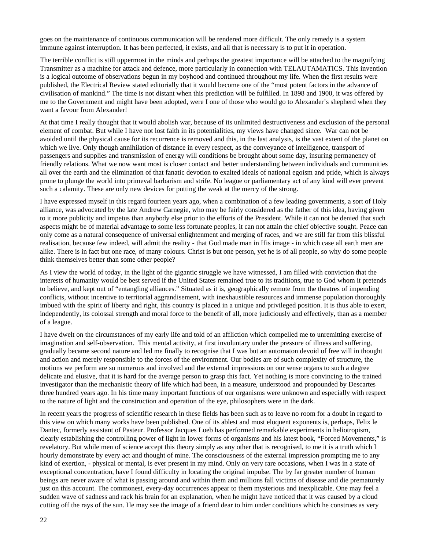goes on the maintenance of continuous communication will be rendered more difficult. The only remedy is a system immune against interruption. It has been perfected, it exists, and all that is necessary is to put it in operation.

The terrible conflict is still uppermost in the minds and perhaps the greatest importance will be attached to the magnifying Transmitter as a machine for attack and defence, more particularly in connection with TELAUTAMATICS. This invention is a logical outcome of observations begun in my boyhood and continued throughout my life. When the first results were published, the Electrical Review stated editorially that it would become one of the "most potent factors in the advance of civilisation of mankind." The time is not distant when this prediction will be fulfilled. In 1898 and 1900, it was offered by me to the Government and might have been adopted, were I one of those who would go to Alexander's shepherd when they want a favour from Alexander!

At that time I really thought that it would abolish war, because of its unlimited destructiveness and exclusion of the personal element of combat. But while I have not lost faith in its potentialities, my views have changed since. War can not be avoided until the physical cause for its recurrence is removed and this, in the last analysis, is the vast extent of the planet on which we live. Only though annihilation of distance in every respect, as the conveyance of intelligence, transport of passengers and supplies and transmission of energy will conditions be brought about some day, insuring permanency of friendly relations. What we now want most is closer contact and better understanding between individuals and communities all over the earth and the elimination of that fanatic devotion to exalted ideals of national egoism and pride, which is always prone to plunge the world into primeval barbarism and strife. No league or parliamentary act of any kind will ever prevent such a calamity. These are only new devices for putting the weak at the mercy of the strong.

I have expressed myself in this regard fourteen years ago, when a combination of a few leading governments, a sort of Holy alliance, was advocated by the late Andrew Carnegie, who may be fairly considered as the father of this idea, having given to it more publicity and impetus than anybody else prior to the efforts of the President. While it can not be denied that such aspects might be of material advantage to some less fortunate peoples, it can not attain the chief objective sought. Peace can only come as a natural consequence of universal enlightenment and merging of races, and we are still far from this blissful realisation, because few indeed, will admit the reality - that God made man in His image - in which case all earth men are alike. There is in fact but one race, of many colours. Christ is but one person, yet he is of all people, so why do some people think themselves better than some other people?

As I view the world of today, in the light of the gigantic struggle we have witnessed, I am filled with conviction that the interests of humanity would be best served if the United States remained true to its traditions, true to God whom it pretends to believe, and kept out of "entangling alliances." Situated as it is, geographically remote from the theatres of impending conflicts, without incentive to territorial aggrandisement, with inexhaustible resources and immense population thoroughly imbued with the spirit of liberty and right, this country is placed in a unique and privileged position. It is thus able to exert, independently, its colossal strength and moral force to the benefit of all, more judiciously and effectively, than as a member of a league.

I have dwelt on the circumstances of my early life and told of an affliction which compelled me to unremitting exercise of imagination and self-observation. This mental activity, at first involuntary under the pressure of illness and suffering, gradually became second nature and led me finally to recognise that I was but an automaton devoid of free will in thought and action and merely responsible to the forces of the environment. Our bodies are of such complexity of structure, the motions we perform are so numerous and involved and the external impressions on our sense organs to such a degree delicate and elusive, that it is hard for the average person to grasp this fact. Yet nothing is more convincing to the trained investigator than the mechanistic theory of life which had been, in a measure, understood and propounded by Descartes three hundred years ago. In his time many important functions of our organisms were unknown and especially with respect to the nature of light and the construction and operation of the eye, philosophers were in the dark.

In recent years the progress of scientific research in these fields has been such as to leave no room for a doubt in regard to this view on which many works have been published. One of its ablest and most eloquent exponents is, perhaps, Felix le Dantec, formerly assistant of Pasteur. Professor Jacques Loeb has performed remarkable experiments in heliotropism, clearly establishing the controlling power of light in lower forms of organisms and his latest book, "Forced Movements," is revelatory. But while men of science accept this theory simply as any other that is recognised, to me it is a truth which I hourly demonstrate by every act and thought of mine. The consciousness of the external impression prompting me to any kind of exertion, - physical or mental, is ever present in my mind. Only on very rare occasions, when I was in a state of exceptional concentration, have I found difficulty in locating the original impulse. The by far greater number of human beings are never aware of what is passing around and within them and millions fall victims of disease and die prematurely just on this account. The commonest, every-day occurrences appear to them mysterious and inexplicable. One may feel a sudden wave of sadness and rack his brain for an explanation, when he might have noticed that it was caused by a cloud cutting off the rays of the sun. He may see the image of a friend dear to him under conditions which he construes as very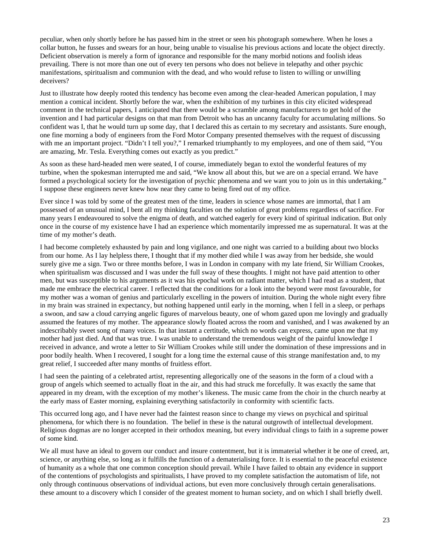peculiar, when only shortly before he has passed him in the street or seen his photograph somewhere. When he loses a collar button, he fusses and swears for an hour, being unable to visualise his previous actions and locate the object directly. Deficient observation is merely a form of ignorance and responsible for the many morbid notions and foolish ideas prevailing. There is not more than one out of every ten persons who does not believe in telepathy and other psychic manifestations, spiritualism and communion with the dead, and who would refuse to listen to willing or unwilling deceivers?

Just to illustrate how deeply rooted this tendency has become even among the clear-headed American population, I may mention a comical incident. Shortly before the war, when the exhibition of my turbines in this city elicited widespread comment in the technical papers, I anticipated that there would be a scramble among manufacturers to get hold of the invention and I had particular designs on that man from Detroit who has an uncanny faculty for accumulating millions. So confident was I, that he would turn up some day, that I declared this as certain to my secretary and assistants. Sure enough, one fine morning a body of engineers from the Ford Motor Company presented themselves with the request of discussing with me an important project. "Didn't I tell you?," I remarked triumphantly to my employees, and one of them said, "You are amazing, Mr. Tesla. Everything comes out exactly as you predict."

As soon as these hard-headed men were seated, I of course, immediately began to extol the wonderful features of my turbine, when the spokesman interrupted me and said, "We know all about this, but we are on a special errand. We have formed a psychological society for the investigation of psychic phenomena and we want you to join us in this undertaking." I suppose these engineers never knew how near they came to being fired out of my office.

Ever since I was told by some of the greatest men of the time, leaders in science whose names are immortal, that I am possessed of an unusual mind, I bent all my thinking faculties on the solution of great problems regardless of sacrifice. For many years I endeavoured to solve the enigma of death, and watched eagerly for every kind of spiritual indication. But only once in the course of my existence have I had an experience which momentarily impressed me as supernatural. It was at the time of my mother's death.

I had become completely exhausted by pain and long vigilance, and one night was carried to a building about two blocks from our home. As I lay helpless there, I thought that if my mother died while I was away from her bedside, she would surely give me a sign. Two or three months before, I was in London in company with my late friend, Sir William Crookes, when spiritualism was discussed and I was under the full sway of these thoughts. I might not have paid attention to other men, but was susceptible to his arguments as it was his epochal work on radiant matter, which I had read as a student, that made me embrace the electrical career. I reflected that the conditions for a look into the beyond were most favourable, for my mother was a woman of genius and particularly excelling in the powers of intuition. During the whole night every fibre in my brain was strained in expectancy, but nothing happened until early in the morning, when I fell in a sleep, or perhaps a swoon, and saw a cloud carrying angelic figures of marvelous beauty, one of whom gazed upon me lovingly and gradually assumed the features of my mother. The appearance slowly floated across the room and vanished, and I was awakened by an indescribably sweet song of many voices. In that instant a certitude, which no words can express, came upon me that my mother had just died. And that was true. I was unable to understand the tremendous weight of the painful knowledge I received in advance, and wrote a letter to Sir William Crookes while still under the domination of these impressions and in poor bodily health. When I recovered, I sought for a long time the external cause of this strange manifestation and, to my great relief, I succeeded after many months of fruitless effort.

I had seen the painting of a celebrated artist, representing allegorically one of the seasons in the form of a cloud with a group of angels which seemed to actually float in the air, and this had struck me forcefully. It was exactly the same that appeared in my dream, with the exception of my mother's likeness. The music came from the choir in the church nearby at the early mass of Easter morning, explaining everything satisfactorily in conformity with scientific facts.

This occurred long ago, and I have never had the faintest reason since to change my views on psychical and spiritual phenomena, for which there is no foundation. The belief in these is the natural outgrowth of intellectual development. Religious dogmas are no longer accepted in their orthodox meaning, but every individual clings to faith in a supreme power of some kind.

We all must have an ideal to govern our conduct and insure contentment, but it is immaterial whether it be one of creed, art, science, or anything else, so long as it fulfills the function of a dematerialising force. It is essential to the peaceful existence of humanity as a whole that one common conception should prevail. While I have failed to obtain any evidence in support of the contentions of psychologists and spiritualists, I have proved to my complete satisfaction the automatism of life, not only through continuous observations of individual actions, but even more conclusively through certain generalisations. these amount to a discovery which I consider of the greatest moment to human society, and on which I shall briefly dwell.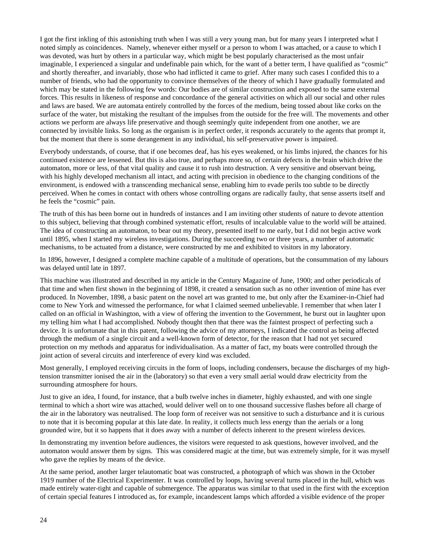I got the first inkling of this astonishing truth when I was still a very young man, but for many years I interpreted what I noted simply as coincidences. Namely, whenever either myself or a person to whom I was attached, or a cause to which I was devoted, was hurt by others in a particular way, which might be best popularly characterised as the most unfair imaginable, I experienced a singular and undefinable pain which, for the want of a better term, I have qualified as "cosmic" and shortly thereafter, and invariably, those who had inflicted it came to grief. After many such cases I confided this to a number of friends, who had the opportunity to convince themselves of the theory of which I have gradually formulated and which may be stated in the following few words: Our bodies are of similar construction and exposed to the same external forces. This results in likeness of response and concordance of the general activities on which all our social and other rules and laws are based. We are automata entirely controlled by the forces of the medium, being tossed about like corks on the surface of the water, but mistaking the resultant of the impulses from the outside for the free will. The movements and other actions we perform are always life preservative and though seemingly quite independent from one another, we are connected by invisible links. So long as the organism is in perfect order, it responds accurately to the agents that prompt it, but the moment that there is some derangement in any individual, his self-preservative power is impaired.

Everybody understands, of course, that if one becomes deaf, has his eyes weakened, or his limbs injured, the chances for his continued existence are lessened. But this is also true, and perhaps more so, of certain defects in the brain which drive the automaton, more or less, of that vital quality and cause it to rush into destruction. A very sensitive and observant being, with his highly developed mechanism all intact, and acting with precision in obedience to the changing conditions of the environment, is endowed with a transcending mechanical sense, enabling him to evade perils too subtle to be directly perceived. When he comes in contact with others whose controlling organs are radically faulty, that sense asserts itself and he feels the "cosmic" pain.

The truth of this has been borne out in hundreds of instances and I am inviting other students of nature to devote attention to this subject, believing that through combined systematic effort, results of incalculable value to the world will be attained. The idea of constructing an automaton, to bear out my theory, presented itself to me early, but I did not begin active work until 1895, when I started my wireless investigations. During the succeeding two or three years, a number of automatic mechanisms, to be actuated from a distance, were constructed by me and exhibited to visitors in my laboratory.

In 1896, however, I designed a complete machine capable of a multitude of operations, but the consummation of my labours was delayed until late in 1897.

This machine was illustrated and described in my article in the Century Magazine of June, 1900; and other periodicals of that time and when first shown in the beginning of 1898, it created a sensation such as no other invention of mine has ever produced. In November, 1898, a basic patent on the novel art was granted to me, but only after the Examiner-in-Chief had come to New York and witnessed the performance, for what I claimed seemed unbelievable. I remember that when later I called on an official in Washington, with a view of offering the invention to the Government, he burst out in laughter upon my telling him what I had accomplished. Nobody thought then that there was the faintest prospect of perfecting such a device. It is unfortunate that in this patent, following the advice of my attorneys, I indicated the control as being affected through the medium of a single circuit and a well-known form of detector, for the reason that I had not yet secured protection on my methods and apparatus for individualisation. As a matter of fact, my boats were controlled through the joint action of several circuits and interference of every kind was excluded.

Most generally, I employed receiving circuits in the form of loops, including condensers, because the discharges of my hightension transmitter ionised the air in the (laboratory) so that even a very small aerial would draw electricity from the surrounding atmosphere for hours.

Just to give an idea, I found, for instance, that a bulb twelve inches in diameter, highly exhausted, and with one single terminal to which a short wire was attached, would deliver well on to one thousand successive flashes before all charge of the air in the laboratory was neutralised. The loop form of receiver was not sensitive to such a disturbance and it is curious to note that it is becoming popular at this late date. In reality, it collects much less energy than the aerials or a long grounded wire, but it so happens that it does away with a number of defects inherent to the present wireless devices.

In demonstrating my invention before audiences, the visitors were requested to ask questions, however involved, and the automaton would answer them by signs. This was considered magic at the time, but was extremely simple, for it was myself who gave the replies by means of the device.

At the same period, another larger telautomatic boat was constructed, a photograph of which was shown in the October 1919 number of the Electrical Experimenter. It was controlled by loops, having several turns placed in the hull, which was made entirely water-tight and capable of submergence. The apparatus was similar to that used in the first with the exception of certain special features I introduced as, for example, incandescent lamps which afforded a visible evidence of the proper